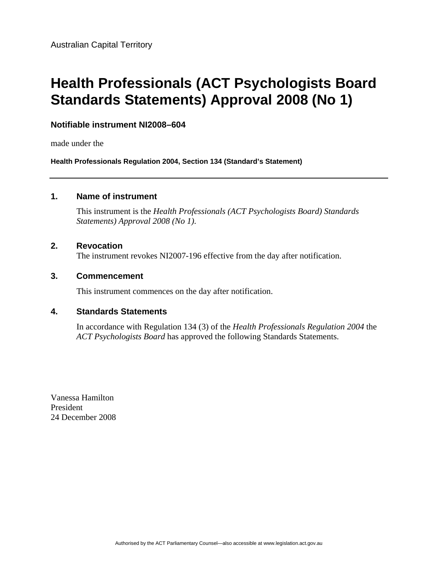# **Health Professionals (ACT Psychologists Board Standards Statements) Approval 2008 (No 1)**

#### **Notifiable instrument NI2008–604**

made under the

**Health Professionals Regulation 2004, Section 134 (Standard's Statement)** 

#### **1. Name of instrument**

This instrument is the *Health Professionals (ACT Psychologists Board) Standards Statements) Approval 2008 (No 1)*.

#### **2. Revocation**

The instrument revokes NI2007-196 effective from the day after notification.

#### **3. Commencement**

This instrument commences on the day after notification.

#### **4. Standards Statements**

In accordance with Regulation 134 (3) of the *Health Professionals Regulation 2004* the *ACT Psychologists Board* has approved the following Standards Statements.

Vanessa Hamilton President 24 December 2008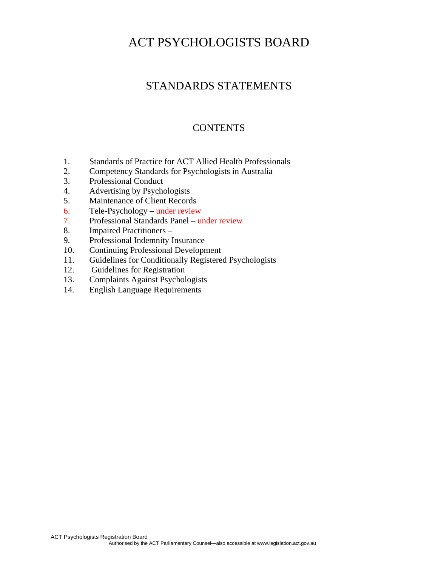# STANDARDS STATEMENTS

# **CONTENTS**

- 1. Standards of Practice for ACT Allied Health Professionals
- 2. Competency Standards for Psychologists in Australia
- 3. Professional Conduct
- 4. Advertising by Psychologists
- 5. Maintenance of Client Records
- 6. Tele-Psychology under review
- 7. Professional Standards Panel under review
- 8. Impaired Practitioners –
- 9. Professional Indemnity Insurance
- 10. Continuing Professional Development
- 11. Guidelines for Conditionally Registered Psychologists
- 12. Guidelines for Registration
- 13. Complaints Against Psychologists
- 14. English Language Requirements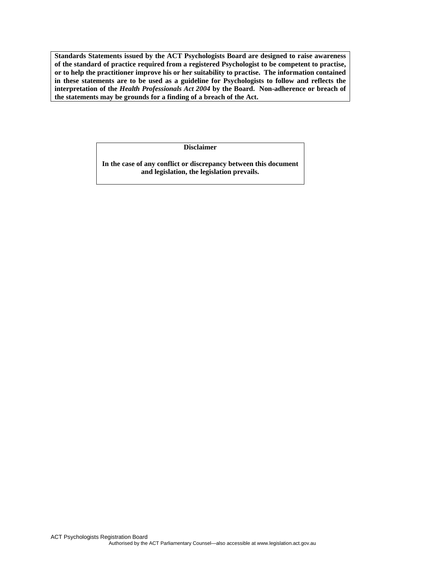**Standards Statements issued by the ACT Psychologists Board are designed to raise awareness of the standard of practice required from a registered Psychologist to be competent to practise, or to help the practitioner improve his or her suitability to practise. The information contained in these statements are to be used as a guideline for Psychologists to follow and reflects the interpretation of the** *Health Professionals Act 2004* **by the Board. Non-adherence or breach of the statements may be grounds for a finding of a breach of the Act.** 

**Disclaimer** 

**In the case of any conflict or discrepancy between this document and legislation, the legislation prevails.**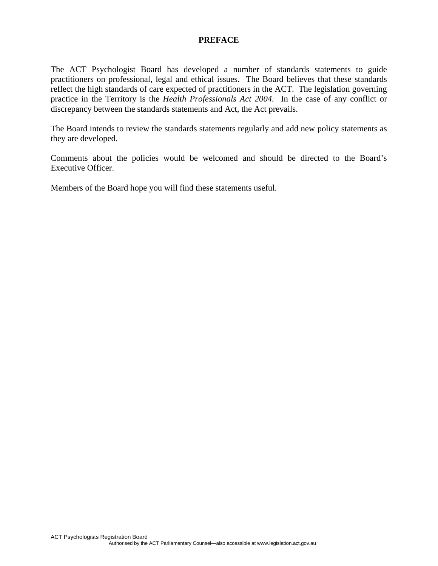#### **PREFACE**

The ACT Psychologist Board has developed a number of standards statements to guide practitioners on professional, legal and ethical issues. The Board believes that these standards reflect the high standards of care expected of practitioners in the ACT. The legislation governing practice in the Territory is the *Health Professionals Act 2004.* In the case of any conflict or discrepancy between the standards statements and Act, the Act prevails.

The Board intends to review the standards statements regularly and add new policy statements as they are developed.

Comments about the policies would be welcomed and should be directed to the Board's Executive Officer.

Members of the Board hope you will find these statements useful.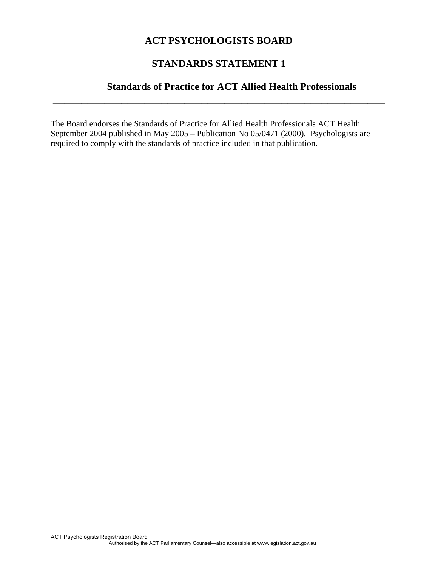# **STANDARDS STATEMENT 1**

\_\_\_\_\_\_\_\_\_\_\_\_\_\_\_\_\_\_\_\_\_\_\_\_\_\_\_\_\_\_\_\_\_\_\_\_\_\_\_\_\_\_\_\_\_\_\_\_\_\_\_\_\_\_\_\_\_\_

# **Standards of Practice for ACT Allied Health Professionals**

The Board endorses the Standards of Practice for Allied Health Professionals ACT Health September 2004 published in May 2005 – Publication No 05/0471 (2000). Psychologists are required to comply with the standards of practice included in that publication.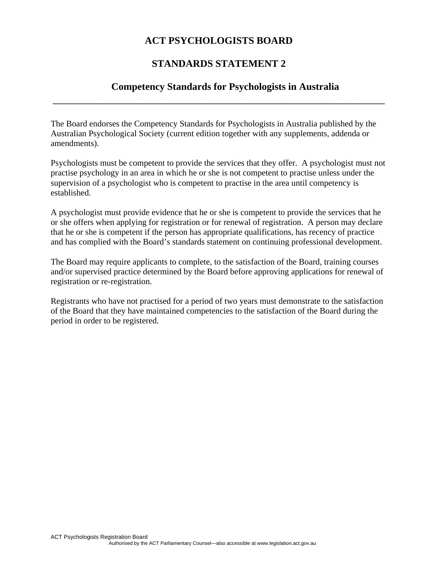# **STANDARDS STATEMENT 2**

\_\_\_\_\_\_\_\_\_\_\_\_\_\_\_\_\_\_\_\_\_\_\_\_\_\_\_\_\_\_\_\_\_\_\_\_\_\_\_\_\_\_\_\_\_\_\_\_\_\_\_\_\_\_\_\_\_\_

## **Competency Standards for Psychologists in Australia**

The Board endorses the Competency Standards for Psychologists in Australia published by the Australian Psychological Society (current edition together with any supplements, addenda or amendments).

Psychologists must be competent to provide the services that they offer. A psychologist must not practise psychology in an area in which he or she is not competent to practise unless under the supervision of a psychologist who is competent to practise in the area until competency is established.

A psychologist must provide evidence that he or she is competent to provide the services that he or she offers when applying for registration or for renewal of registration. A person may declare that he or she is competent if the person has appropriate qualifications, has recency of practice and has complied with the Board's standards statement on continuing professional development.

The Board may require applicants to complete, to the satisfaction of the Board, training courses and/or supervised practice determined by the Board before approving applications for renewal of registration or re-registration.

Registrants who have not practised for a period of two years must demonstrate to the satisfaction of the Board that they have maintained competencies to the satisfaction of the Board during the period in order to be registered.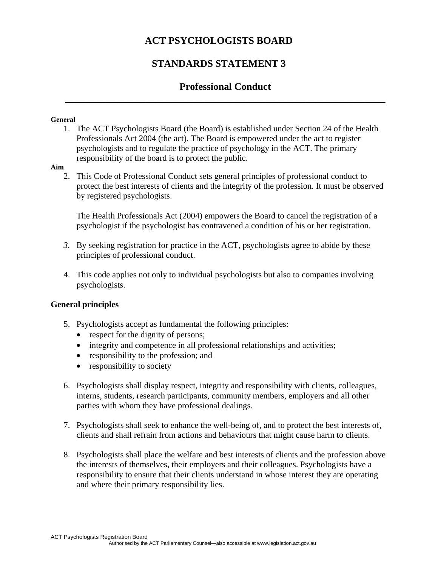# **STANDARDS STATEMENT 3**

# **Professional Conduct \_\_\_\_\_\_\_\_\_\_\_\_\_\_\_\_\_\_\_\_\_\_\_\_\_\_\_\_\_\_\_\_\_\_\_\_\_\_\_\_\_\_\_\_\_\_\_\_\_\_\_\_\_\_\_\_\_\_\_\_\_\_\_\_**

#### **General**

1. The ACT Psychologists Board (the Board) is established under Section 24 of the Health Professionals Act 2004 (the act). The Board is empowered under the act to register psychologists and to regulate the practice of psychology in the ACT. The primary responsibility of the board is to protect the public.

#### **Aim**

2. This Code of Professional Conduct sets general principles of professional conduct to protect the best interests of clients and the integrity of the profession. It must be observed by registered psychologists.

The Health Professionals Act (2004) empowers the Board to cancel the registration of a psychologist if the psychologist has contravened a condition of his or her registration.

- *3.* By seeking registration for practice in the ACT, psychologists agree to abide by these principles of professional conduct.
- 4. This code applies not only to individual psychologists but also to companies involving psychologists.

#### **General principles**

- 5. Psychologists accept as fundamental the following principles:
	- respect for the dignity of persons;
	- integrity and competence in all professional relationships and activities;
	- responsibility to the profession; and
	- responsibility to society
- 6. Psychologists shall display respect, integrity and responsibility with clients, colleagues, interns, students, research participants, community members, employers and all other parties with whom they have professional dealings.
- 7. Psychologists shall seek to enhance the well-being of, and to protect the best interests of, clients and shall refrain from actions and behaviours that might cause harm to clients.
- 8. Psychologists shall place the welfare and best interests of clients and the profession above the interests of themselves, their employers and their colleagues. Psychologists have a responsibility to ensure that their clients understand in whose interest they are operating and where their primary responsibility lies.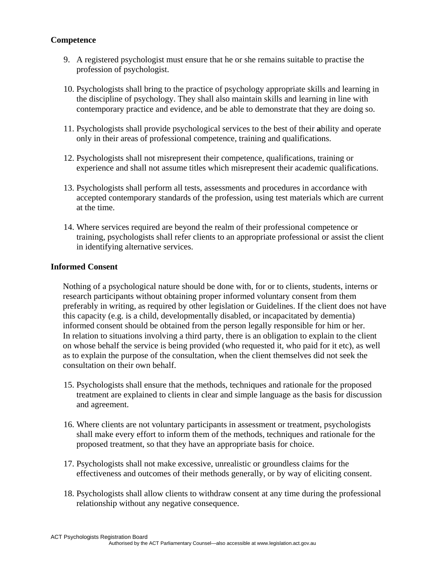#### **Competence**

- 9. A registered psychologist must ensure that he or she remains suitable to practise the profession of psychologist.
- 10. Psychologists shall bring to the practice of psychology appropriate skills and learning in the discipline of psychology. They shall also maintain skills and learning in line with contemporary practice and evidence, and be able to demonstrate that they are doing so.
- 11. Psychologists shall provide psychological services to the best of their **a**bility and operate only in their areas of professional competence, training and qualifications.
- 12. Psychologists shall not misrepresent their competence, qualifications, training or experience and shall not assume titles which misrepresent their academic qualifications.
- 13. Psychologists shall perform all tests, assessments and procedures in accordance with accepted contemporary standards of the profession, using test materials which are current at the time.
- 14. Where services required are beyond the realm of their professional competence or training, psychologists shall refer clients to an appropriate professional or assist the client in identifying alternative services.

#### **Informed Consent**

Nothing of a psychological nature should be done with, for or to clients, students, interns or research participants without obtaining proper informed voluntary consent from them preferably in writing, as required by other legislation or Guidelines. If the client does not have this capacity (e.g. is a child, developmentally disabled, or incapacitated by dementia) informed consent should be obtained from the person legally responsible for him or her. In relation to situations involving a third party, there is an obligation to explain to the client on whose behalf the service is being provided (who requested it, who paid for it etc), as well as to explain the purpose of the consultation, when the client themselves did not seek the consultation on their own behalf.

- 15. Psychologists shall ensure that the methods, techniques and rationale for the proposed treatment are explained to clients in clear and simple language as the basis for discussion and agreement.
- 16. Where clients are not voluntary participants in assessment or treatment, psychologists shall make every effort to inform them of the methods, techniques and rationale for the proposed treatment, so that they have an appropriate basis for choice.
- 17. Psychologists shall not make excessive, unrealistic or groundless claims for the effectiveness and outcomes of their methods generally, or by way of eliciting consent.
- 18. Psychologists shall allow clients to withdraw consent at any time during the professional relationship without any negative consequence.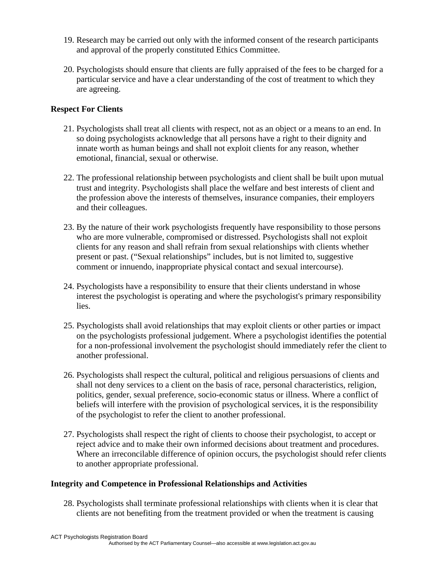- 19. Research may be carried out only with the informed consent of the research participants and approval of the properly constituted Ethics Committee.
- 20. Psychologists should ensure that clients are fully appraised of the fees to be charged for a particular service and have a clear understanding of the cost of treatment to which they are agreeing.

## **Respect For Clients**

- 21. Psychologists shall treat all clients with respect, not as an object or a means to an end. In so doing psychologists acknowledge that all persons have a right to their dignity and innate worth as human beings and shall not exploit clients for any reason, whether emotional, financial, sexual or otherwise.
- 22. The professional relationship between psychologists and client shall be built upon mutual trust and integrity. Psychologists shall place the welfare and best interests of client and the profession above the interests of themselves, insurance companies, their employers and their colleagues.
- 23. By the nature of their work psychologists frequently have responsibility to those persons who are more vulnerable, compromised or distressed. Psychologists shall not exploit clients for any reason and shall refrain from sexual relationships with clients whether present or past. ("Sexual relationships" includes, but is not limited to, suggestive comment or innuendo, inappropriate physical contact and sexual intercourse).
- 24. Psychologists have a responsibility to ensure that their clients understand in whose interest the psychologist is operating and where the psychologist's primary responsibility lies.
- 25. Psychologists shall avoid relationships that may exploit clients or other parties or impact on the psychologists professional judgement. Where a psychologist identifies the potential for a non-professional involvement the psychologist should immediately refer the client to another professional.
- 26. Psychologists shall respect the cultural, political and religious persuasions of clients and shall not deny services to a client on the basis of race, personal characteristics, religion, politics, gender, sexual preference, socio-economic status or illness. Where a conflict of beliefs will interfere with the provision of psychological services, it is the responsibility of the psychologist to refer the client to another professional.
- 27. Psychologists shall respect the right of clients to choose their psychologist, to accept or reject advice and to make their own informed decisions about treatment and procedures. Where an irreconcilable difference of opinion occurs, the psychologist should refer clients to another appropriate professional.

## **Integrity and Competence in Professional Relationships and Activities**

28. Psychologists shall terminate professional relationships with clients when it is clear that clients are not benefiting from the treatment provided or when the treatment is causing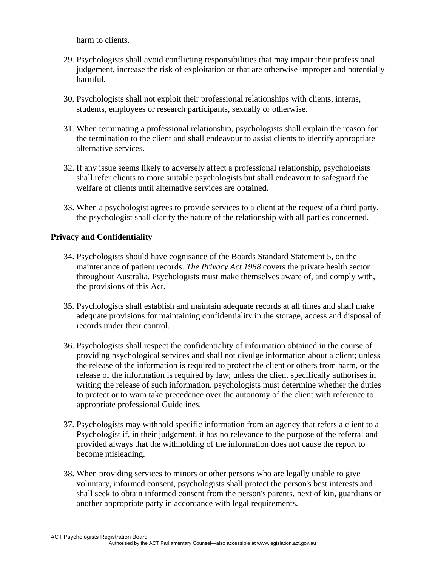harm to clients.

- 29. Psychologists shall avoid conflicting responsibilities that may impair their professional judgement, increase the risk of exploitation or that are otherwise improper and potentially harmful.
- 30. Psychologists shall not exploit their professional relationships with clients, interns, students, employees or research participants, sexually or otherwise.
- 31. When terminating a professional relationship, psychologists shall explain the reason for the termination to the client and shall endeavour to assist clients to identify appropriate alternative services.
- 32. If any issue seems likely to adversely affect a professional relationship, psychologists shall refer clients to more suitable psychologists but shall endeavour to safeguard the welfare of clients until alternative services are obtained.
- 33. When a psychologist agrees to provide services to a client at the request of a third party, the psychologist shall clarify the nature of the relationship with all parties concerned.

#### **Privacy and Confidentiality**

- 34. Psychologists should have cognisance of the Boards Standard Statement 5, on the maintenance of patient records. *The Privacy Act 1988* covers the private health sector throughout Australia. Psychologists must make themselves aware of, and comply with, the provisions of this Act.
- 35. Psychologists shall establish and maintain adequate records at all times and shall make adequate provisions for maintaining confidentiality in the storage, access and disposal of records under their control.
- 36. Psychologists shall respect the confidentiality of information obtained in the course of providing psychological services and shall not divulge information about a client; unless the release of the information is required to protect the client or others from harm, or the release of the information is required by law; unless the client specifically authorises in writing the release of such information. psychologists must determine whether the duties to protect or to warn take precedence over the autonomy of the client with reference to appropriate professional Guidelines.
- 37. Psychologists may withhold specific information from an agency that refers a client to a Psychologist if, in their judgement, it has no relevance to the purpose of the referral and provided always that the withholding of the information does not cause the report to become misleading.
- 38. When providing services to minors or other persons who are legally unable to give voluntary, informed consent, psychologists shall protect the person's best interests and shall seek to obtain informed consent from the person's parents, next of kin, guardians or another appropriate party in accordance with legal requirements.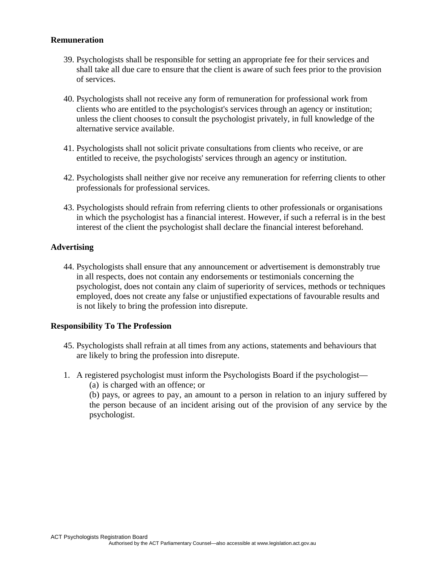#### **Remuneration**

- 39. Psychologists shall be responsible for setting an appropriate fee for their services and shall take all due care to ensure that the client is aware of such fees prior to the provision of services.
- 40. Psychologists shall not receive any form of remuneration for professional work from clients who are entitled to the psychologist's services through an agency or institution; unless the client chooses to consult the psychologist privately, in full knowledge of the alternative service available.
- 41. Psychologists shall not solicit private consultations from clients who receive, or are entitled to receive, the psychologists' services through an agency or institution.
- 42. Psychologists shall neither give nor receive any remuneration for referring clients to other professionals for professional services.
- 43. Psychologists should refrain from referring clients to other professionals or organisations in which the psychologist has a financial interest. However, if such a referral is in the best interest of the client the psychologist shall declare the financial interest beforehand.

#### **Advertising**

44. Psychologists shall ensure that any announcement or advertisement is demonstrably true in all respects, does not contain any endorsements or testimonials concerning the psychologist, does not contain any claim of superiority of services, methods or techniques employed, does not create any false or unjustified expectations of favourable results and is not likely to bring the profession into disrepute.

#### **Responsibility To The Profession**

- 45. Psychologists shall refrain at all times from any actions, statements and behaviours that are likely to bring the profession into disrepute.
- 1. A registered psychologist must inform the Psychologists Board if the psychologist—
	- (a) is charged with an offence; or

(b) pays, or agrees to pay, an amount to a person in relation to an injury suffered by the person because of an incident arising out of the provision of any service by the psychologist.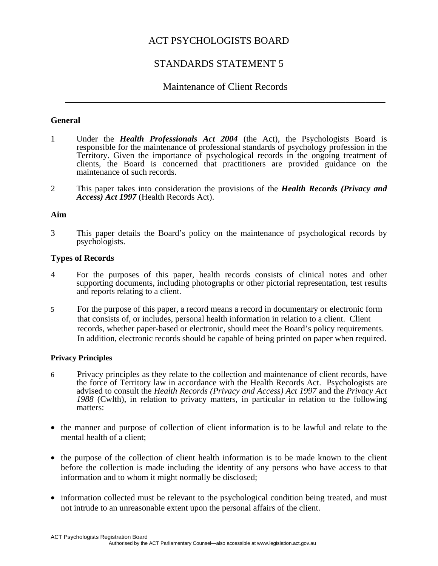# STANDARDS STATEMENT 5

# Maintenance of Client Records **\_\_\_\_\_\_\_\_\_\_\_\_\_\_\_\_\_\_\_\_\_\_\_\_\_\_\_\_\_\_\_\_\_\_\_\_\_\_\_\_\_\_\_\_\_\_\_\_\_\_\_\_\_\_\_\_\_\_\_\_\_\_\_\_**

#### **General**

- 1 Under the *Health Professionals Act 2004* (the Act), the Psychologists Board is responsible for the maintenance of professional standards of psychology profession in the Territory. Given the importance of psychological records in the ongoing treatment of clients, the Board is concerned that practitioners are provided guidance on the maintenance of such records.
- 2 This paper takes into consideration the provisions of the *Health Records (Privacy and Access) Act 1997* (Health Records Act).

#### **Aim**

3 This paper details the Board's policy on the maintenance of psychological records by psychologists.

#### **Types of Records**

- 4 For the purposes of this paper, health records consists of clinical notes and other supporting documents, including photographs or other pictorial representation, test results and reports relating to a client.
- 5 For the purpose of this paper, a record means a record in documentary or electronic form that consists of, or includes, personal health information in relation to a client. Client records, whether paper-based or electronic, should meet the Board's policy requirements. In addition, electronic records should be capable of being printed on paper when required.

#### **Privacy Principles**

- 6 Privacy principles as they relate to the collection and maintenance of client records, have the force of Territory law in accordance with the Health Records Act. Psychologists are advised to consult the *Health Records (Privacy and Access) Act 1997* and the *Privacy Act 1988* (Cwlth), in relation to privacy matters, in particular in relation to the following matters:
- the manner and purpose of collection of client information is to be lawful and relate to the mental health of a client;
- the purpose of the collection of client health information is to be made known to the client before the collection is made including the identity of any persons who have access to that information and to whom it might normally be disclosed;
- information collected must be relevant to the psychological condition being treated, and must not intrude to an unreasonable extent upon the personal affairs of the client.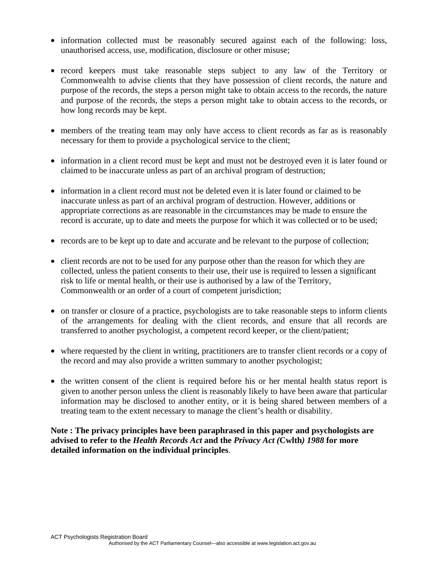- information collected must be reasonably secured against each of the following: loss, unauthorised access, use, modification, disclosure or other misuse;
- record keepers must take reasonable steps subject to any law of the Territory or Commonwealth to advise clients that they have possession of client records, the nature and purpose of the records, the steps a person might take to obtain access to the records, the nature and purpose of the records, the steps a person might take to obtain access to the records, or how long records may be kept.
- members of the treating team may only have access to client records as far as is reasonably necessary for them to provide a psychological service to the client;
- information in a client record must be kept and must not be destroyed even it is later found or claimed to be inaccurate unless as part of an archival program of destruction;
- information in a client record must not be deleted even it is later found or claimed to be inaccurate unless as part of an archival program of destruction. However, additions or appropriate corrections as are reasonable in the circumstances may be made to ensure the record is accurate, up to date and meets the purpose for which it was collected or to be used;
- records are to be kept up to date and accurate and be relevant to the purpose of collection;
- client records are not to be used for any purpose other than the reason for which they are collected, unless the patient consents to their use, their use is required to lessen a significant risk to life or mental health, or their use is authorised by a law of the Territory, Commonwealth or an order of a court of competent jurisdiction;
- on transfer or closure of a practice, psychologists are to take reasonable steps to inform clients of the arrangements for dealing with the client records, and ensure that all records are transferred to another psychologist, a competent record keeper, or the client/patient;
- where requested by the client in writing, practitioners are to transfer client records or a copy of the record and may also provide a written summary to another psychologist;
- the written consent of the client is required before his or her mental health status report is given to another person unless the client is reasonably likely to have been aware that particular information may be disclosed to another entity, or it is being shared between members of a treating team to the extent necessary to manage the client's health or disability.

**Note : The privacy principles have been paraphrased in this paper and psychologists are advised to refer to the** *Health Records Act* **and the** *Privacy Act (***Cwlth***) 1988* **for more detailed information on the individual principles**.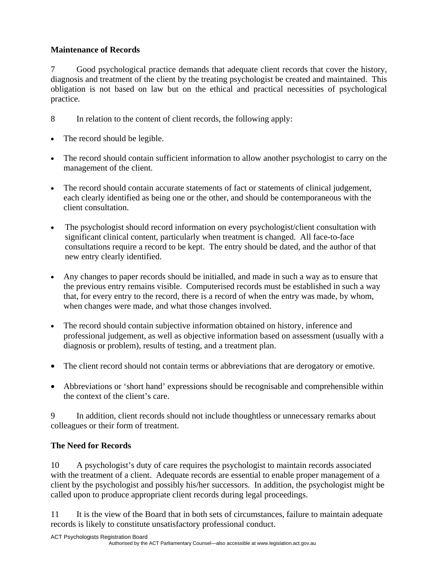## **Maintenance of Records**

7 Good psychological practice demands that adequate client records that cover the history, diagnosis and treatment of the client by the treating psychologist be created and maintained. This obligation is not based on law but on the ethical and practical necessities of psychological practice.

- 8 In relation to the content of client records, the following apply:
- The record should be legible.
- The record should contain sufficient information to allow another psychologist to carry on the management of the client.
- The record should contain accurate statements of fact or statements of clinical judgement, each clearly identified as being one or the other, and should be contemporaneous with the client consultation.
- The psychologist should record information on every psychologist/client consultation with significant clinical content, particularly when treatment is changed. All face-to-face consultations require a record to be kept. The entry should be dated, and the author of that new entry clearly identified.
- Any changes to paper records should be initialled, and made in such a way as to ensure that the previous entry remains visible. Computerised records must be established in such a way that, for every entry to the record, there is a record of when the entry was made, by whom, when changes were made, and what those changes involved.
- The record should contain subjective information obtained on history, inference and professional judgement, as well as objective information based on assessment (usually with a diagnosis or problem), results of testing, and a treatment plan.
- The client record should not contain terms or abbreviations that are derogatory or emotive.
- Abbreviations or 'short hand' expressions should be recognisable and comprehensible within the context of the client's care.

9 In addition, client records should not include thoughtless or unnecessary remarks about colleagues or their form of treatment.

## **The Need for Records**

10 A psychologist's duty of care requires the psychologist to maintain records associated with the treatment of a client. Adequate records are essential to enable proper management of a client by the psychologist and possibly his/her successors. In addition, the psychologist might be called upon to produce appropriate client records during legal proceedings.

11 It is the view of the Board that in both sets of circumstances, failure to maintain adequate records is likely to constitute unsatisfactory professional conduct.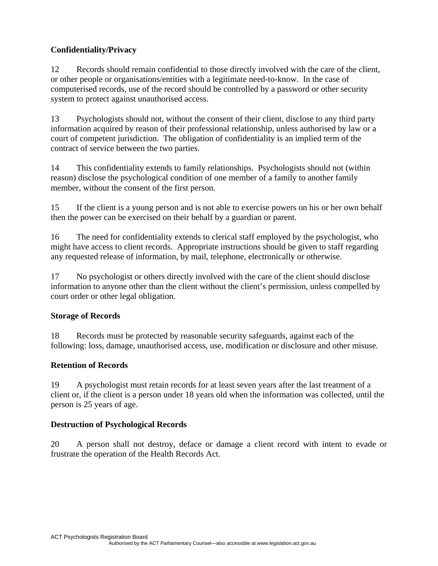## **Confidentiality/Privacy**

12 Records should remain confidential to those directly involved with the care of the client, or other people or organisations/entities with a legitimate need-to-know. In the case of computerised records, use of the record should be controlled by a password or other security system to protect against unauthorised access.

13 Psychologists should not, without the consent of their client, disclose to any third party information acquired by reason of their professional relationship, unless authorised by law or a court of competent jurisdiction. The obligation of confidentiality is an implied term of the contract of service between the two parties.

14 This confidentiality extends to family relationships. Psychologists should not (within reason) disclose the psychological condition of one member of a family to another family member, without the consent of the first person.

15 If the client is a young person and is not able to exercise powers on his or her own behalf then the power can be exercised on their behalf by a guardian or parent.

16 The need for confidentiality extends to clerical staff employed by the psychologist, who might have access to client records. Appropriate instructions should be given to staff regarding any requested release of information, by mail, telephone, electronically or otherwise.

17 No psychologist or others directly involved with the care of the client should disclose information to anyone other than the client without the client's permission, unless compelled by court order or other legal obligation.

## **Storage of Records**

18 Records must be protected by reasonable security safeguards, against each of the following: loss, damage, unauthorised access, use, modification or disclosure and other misuse.

## **Retention of Records**

19 A psychologist must retain records for at least seven years after the last treatment of a client or, if the client is a person under 18 years old when the information was collected, until the person is 25 years of age.

#### **Destruction of Psychological Records**

20 A person shall not destroy, deface or damage a client record with intent to evade or frustrate the operation of the Health Records Act.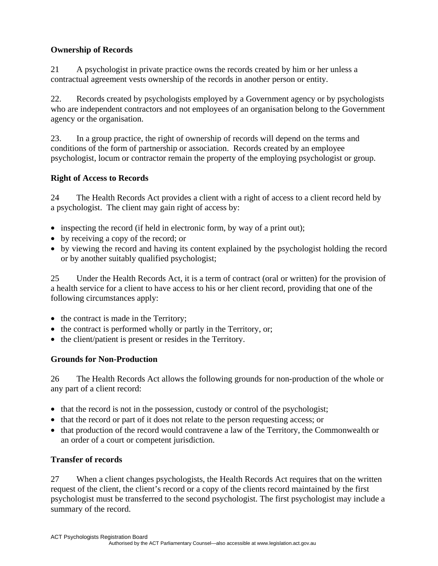## **Ownership of Records**

21 A psychologist in private practice owns the records created by him or her unless a contractual agreement vests ownership of the records in another person or entity.

22. Records created by psychologists employed by a Government agency or by psychologists who are independent contractors and not employees of an organisation belong to the Government agency or the organisation.

23. In a group practice, the right of ownership of records will depend on the terms and conditions of the form of partnership or association. Records created by an employee psychologist, locum or contractor remain the property of the employing psychologist or group.

## **Right of Access to Records**

24 The Health Records Act provides a client with a right of access to a client record held by a psychologist. The client may gain right of access by:

- inspecting the record (if held in electronic form, by way of a print out);
- by receiving a copy of the record; or
- by viewing the record and having its content explained by the psychologist holding the record or by another suitably qualified psychologist;

25 Under the Health Records Act, it is a term of contract (oral or written) for the provision of a health service for a client to have access to his or her client record, providing that one of the following circumstances apply:

- the contract is made in the Territory;
- the contract is performed wholly or partly in the Territory, or;
- the client/patient is present or resides in the Territory.

## **Grounds for Non-Production**

26 The Health Records Act allows the following grounds for non-production of the whole or any part of a client record:

- that the record is not in the possession, custody or control of the psychologist;
- that the record or part of it does not relate to the person requesting access; or
- that production of the record would contravene a law of the Territory, the Commonwealth or an order of a court or competent jurisdiction.

## **Transfer of records**

27 When a client changes psychologists, the Health Records Act requires that on the written request of the client, the client's record or a copy of the clients record maintained by the first psychologist must be transferred to the second psychologist. The first psychologist may include a summary of the record.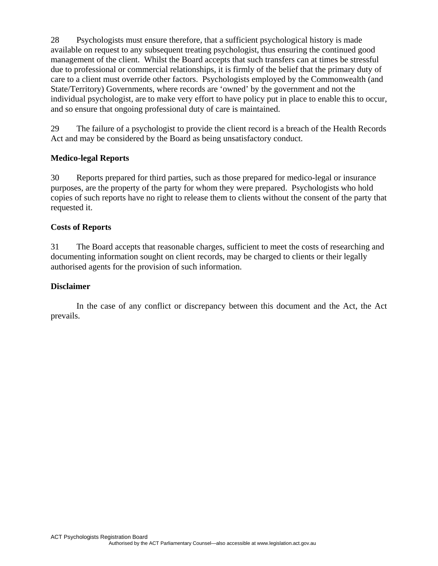28 Psychologists must ensure therefore, that a sufficient psychological history is made available on request to any subsequent treating psychologist, thus ensuring the continued good management of the client. Whilst the Board accepts that such transfers can at times be stressful due to professional or commercial relationships, it is firmly of the belief that the primary duty of care to a client must override other factors. Psychologists employed by the Commonwealth (and State/Territory) Governments, where records are 'owned' by the government and not the individual psychologist, are to make very effort to have policy put in place to enable this to occur, and so ensure that ongoing professional duty of care is maintained.

29 The failure of a psychologist to provide the client record is a breach of the Health Records Act and may be considered by the Board as being unsatisfactory conduct.

## **Medico-legal Reports**

30 Reports prepared for third parties, such as those prepared for medico-legal or insurance purposes, are the property of the party for whom they were prepared. Psychologists who hold copies of such reports have no right to release them to clients without the consent of the party that requested it.

#### **Costs of Reports**

31 The Board accepts that reasonable charges, sufficient to meet the costs of researching and documenting information sought on client records, may be charged to clients or their legally authorised agents for the provision of such information.

#### **Disclaimer**

In the case of any conflict or discrepancy between this document and the Act, the Act prevails.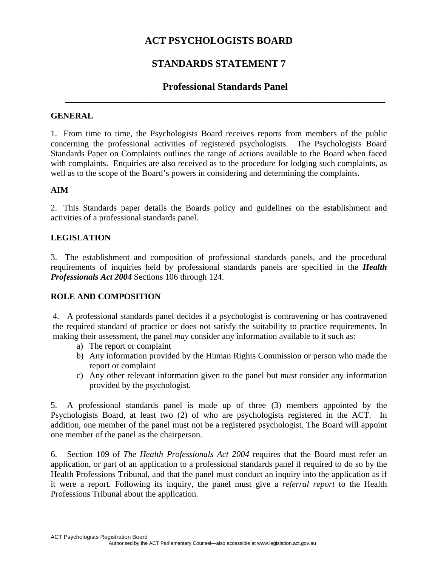# **STANDARDS STATEMENT 7**

# **Professional Standards Panel \_\_\_\_\_\_\_\_\_\_\_\_\_\_\_\_\_\_\_\_\_\_\_\_\_\_\_\_\_\_\_\_\_\_\_\_\_\_\_\_\_\_\_\_\_\_\_\_\_\_\_\_\_\_\_\_\_\_\_\_\_\_\_\_**

#### **GENERAL**

1. From time to time, the Psychologists Board receives reports from members of the public concerning the professional activities of registered psychologists. The Psychologists Board Standards Paper on Complaints outlines the range of actions available to the Board when faced with complaints. Enquiries are also received as to the procedure for lodging such complaints, as well as to the scope of the Board's powers in considering and determining the complaints.

## **AIM**

2. This Standards paper details the Boards policy and guidelines on the establishment and activities of a professional standards panel.

## **LEGISLATION**

3. The establishment and composition of professional standards panels, and the procedural requirements of inquiries held by professional standards panels are specified in the *Health Professionals Act 2004* Sections 106 through 124.

## **ROLE AND COMPOSITION**

4. A professional standards panel decides if a psychologist is contravening or has contravened the required standard of practice or does not satisfy the suitability to practice requirements. In making their assessment, the panel *may* consider any information available to it such as:

- a) The report or complaint
- b) Any information provided by the Human Rights Commission or person who made the report or complaint
- c) Any other relevant information given to the panel but *must* consider any information provided by the psychologist.

5. A professional standards panel is made up of three (3) members appointed by the Psychologists Board, at least two (2) of who are psychologists registered in the ACT. In addition, one member of the panel must not be a registered psychologist. The Board will appoint one member of the panel as the chairperson.

6. Section 109 of *The Health Professionals Act 2004* requires that the Board must refer an application, or part of an application to a professional standards panel if required to do so by the Health Professions Tribunal, and that the panel must conduct an inquiry into the application as if it were a report. Following its inquiry, the panel must give a *referral report* to the Health Professions Tribunal about the application.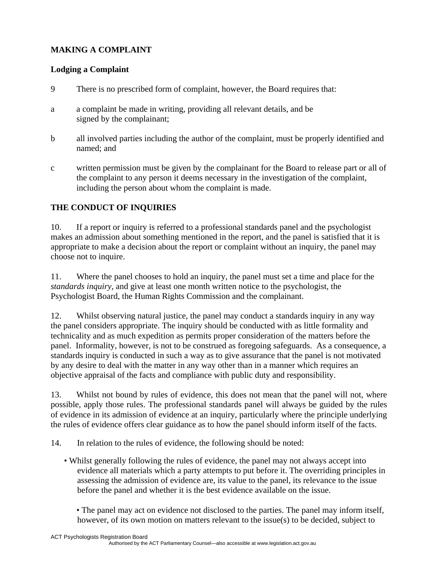## **MAKING A COMPLAINT**

## **Lodging a Complaint**

- 9 There is no prescribed form of complaint, however, the Board requires that:
- a a complaint be made in writing, providing all relevant details, and be signed by the complainant;
- b all involved parties including the author of the complaint, must be properly identified and named; and
- c written permission must be given by the complainant for the Board to release part or all of the complaint to any person it deems necessary in the investigation of the complaint, including the person about whom the complaint is made.

## **THE CONDUCT OF INQUIRIES**

10. If a report or inquiry is referred to a professional standards panel and the psychologist makes an admission about something mentioned in the report, and the panel is satisfied that it is appropriate to make a decision about the report or complaint without an inquiry, the panel may choose not to inquire.

11. Where the panel chooses to hold an inquiry, the panel must set a time and place for the *standards inquiry*, and give at least one month written notice to the psychologist, the Psychologist Board, the Human Rights Commission and the complainant.

12. Whilst observing natural justice, the panel may conduct a standards inquiry in any way the panel considers appropriate. The inquiry should be conducted with as little formality and technicality and as much expedition as permits proper consideration of the matters before the panel. Informality, however, is not to be construed as foregoing safeguards. As a consequence, a standards inquiry is conducted in such a way as to give assurance that the panel is not motivated by any desire to deal with the matter in any way other than in a manner which requires an objective appraisal of the facts and compliance with public duty and responsibility.

13. Whilst not bound by rules of evidence, this does not mean that the panel will not, where possible, apply those rules. The professional standards panel will always be guided by the rules of evidence in its admission of evidence at an inquiry, particularly where the principle underlying the rules of evidence offers clear guidance as to how the panel should inform itself of the facts.

14. In relation to the rules of evidence, the following should be noted:

• Whilst generally following the rules of evidence, the panel may not always accept into evidence all materials which a party attempts to put before it. The overriding principles in assessing the admission of evidence are, its value to the panel, its relevance to the issue before the panel and whether it is the best evidence available on the issue.

• The panel may act on evidence not disclosed to the parties. The panel may inform itself, however, of its own motion on matters relevant to the issue(s) to be decided, subject to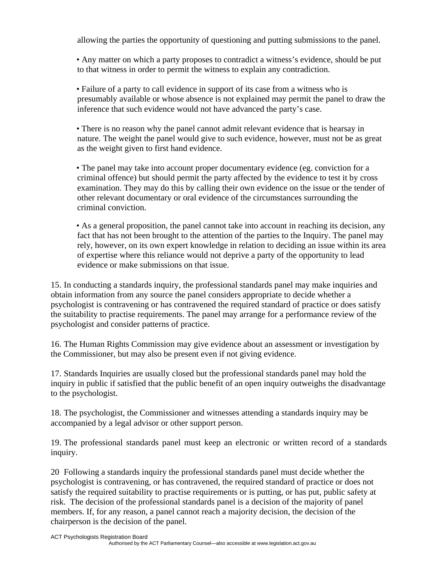allowing the parties the opportunity of questioning and putting submissions to the panel.

• Any matter on which a party proposes to contradict a witness's evidence, should be put to that witness in order to permit the witness to explain any contradiction.

• Failure of a party to call evidence in support of its case from a witness who is presumably available or whose absence is not explained may permit the panel to draw the inference that such evidence would not have advanced the party's case.

• There is no reason why the panel cannot admit relevant evidence that is hearsay in nature. The weight the panel would give to such evidence, however, must not be as great as the weight given to first hand evidence.

• The panel may take into account proper documentary evidence (eg. conviction for a criminal offence) but should permit the party affected by the evidence to test it by cross examination. They may do this by calling their own evidence on the issue or the tender of other relevant documentary or oral evidence of the circumstances surrounding the criminal conviction.

• As a general proposition, the panel cannot take into account in reaching its decision, any fact that has not been brought to the attention of the parties to the Inquiry. The panel may rely, however, on its own expert knowledge in relation to deciding an issue within its area of expertise where this reliance would not deprive a party of the opportunity to lead evidence or make submissions on that issue.

15. In conducting a standards inquiry, the professional standards panel may make inquiries and obtain information from any source the panel considers appropriate to decide whether a psychologist is contravening or has contravened the required standard of practice or does satisfy the suitability to practise requirements. The panel may arrange for a performance review of the psychologist and consider patterns of practice.

16. The Human Rights Commission may give evidence about an assessment or investigation by the Commissioner, but may also be present even if not giving evidence.

17. Standards Inquiries are usually closed but the professional standards panel may hold the inquiry in public if satisfied that the public benefit of an open inquiry outweighs the disadvantage to the psychologist.

18. The psychologist, the Commissioner and witnesses attending a standards inquiry may be accompanied by a legal advisor or other support person.

19. The professional standards panel must keep an electronic or written record of a standards inquiry.

20 Following a standards inquiry the professional standards panel must decide whether the psychologist is contravening, or has contravened, the required standard of practice or does not satisfy the required suitability to practise requirements or is putting, or has put, public safety at risk. The decision of the professional standards panel is a decision of the majority of panel members. If, for any reason, a panel cannot reach a majority decision, the decision of the chairperson is the decision of the panel.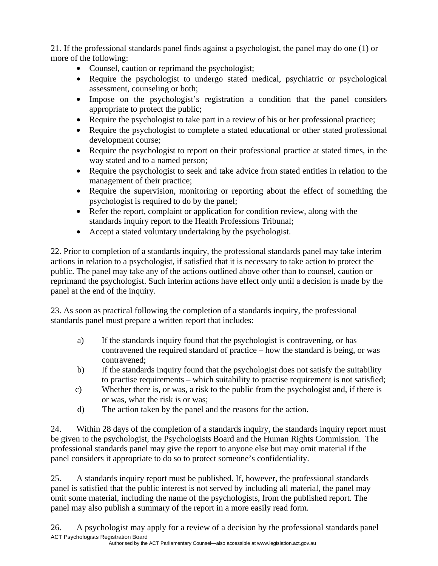21. If the professional standards panel finds against a psychologist, the panel may do one (1) or more of the following:

- Counsel, caution or reprimand the psychologist;
- Require the psychologist to undergo stated medical, psychiatric or psychological assessment, counseling or both;
- Impose on the psychologist's registration a condition that the panel considers appropriate to protect the public;
- Require the psychologist to take part in a review of his or her professional practice;
- Require the psychologist to complete a stated educational or other stated professional development course;
- Require the psychologist to report on their professional practice at stated times, in the way stated and to a named person;
- Require the psychologist to seek and take advice from stated entities in relation to the management of their practice;
- Require the supervision, monitoring or reporting about the effect of something the psychologist is required to do by the panel;
- Refer the report, complaint or application for condition review, along with the standards inquiry report to the Health Professions Tribunal;
- Accept a stated voluntary undertaking by the psychologist.

22. Prior to completion of a standards inquiry, the professional standards panel may take interim actions in relation to a psychologist, if satisfied that it is necessary to take action to protect the public. The panel may take any of the actions outlined above other than to counsel, caution or reprimand the psychologist. Such interim actions have effect only until a decision is made by the panel at the end of the inquiry.

23. As soon as practical following the completion of a standards inquiry, the professional standards panel must prepare a written report that includes:

- a) If the standards inquiry found that the psychologist is contravening, or has contravened the required standard of practice – how the standard is being, or was contravened;
- b) If the standards inquiry found that the psychologist does not satisfy the suitability to practise requirements – which suitability to practise requirement is not satisfied;
- c) Whether there is, or was, a risk to the public from the psychologist and, if there is or was, what the risk is or was;
- d) The action taken by the panel and the reasons for the action.

24. Within 28 days of the completion of a standards inquiry, the standards inquiry report must be given to the psychologist, the Psychologists Board and the Human Rights Commission. The professional standards panel may give the report to anyone else but may omit material if the panel considers it appropriate to do so to protect someone's confidentiality.

25. A standards inquiry report must be published. If, however, the professional standards panel is satisfied that the public interest is not served by including all material, the panel may omit some material, including the name of the psychologists, from the published report. The panel may also publish a summary of the report in a more easily read form.

ACT Psychologists Registration Board Authorised by the ACT Parliamentary Counsel—also accessible at www.legislation.act.gov.au 26. A psychologist may apply for a review of a decision by the professional standards panel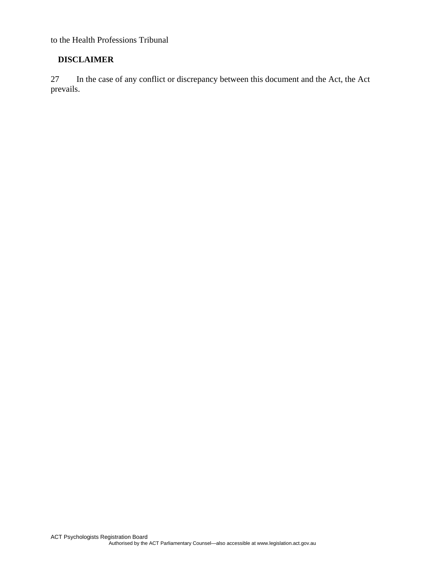to the Health Professions Tribunal

## **DISCLAIMER**

27 In the case of any conflict or discrepancy between this document and the Act, the Act prevails.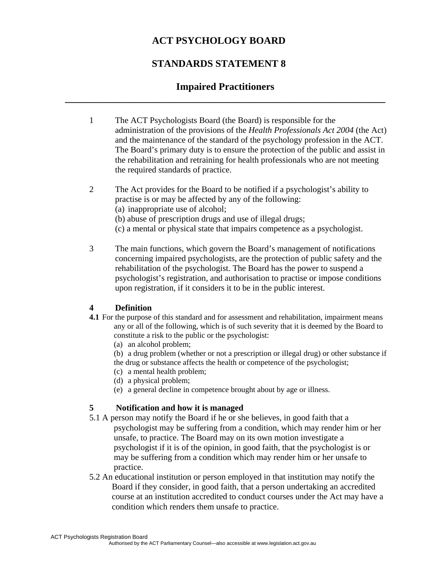# **ACT PSYCHOLOGY BOARD**

# **STANDARDS STATEMENT 8**

# **Impaired Practitioners \_\_\_\_\_\_\_\_\_\_\_\_\_\_\_\_\_\_\_\_\_\_\_\_\_\_\_\_\_\_\_\_\_\_\_\_\_\_\_\_\_\_\_\_\_\_\_\_\_\_\_\_\_\_\_\_\_\_\_\_\_\_\_\_**

1 The ACT Psychologists Board (the Board) is responsible for the administration of the provisions of the *Health Professionals Act 2004* (the Act) and the maintenance of the standard of the psychology profession in the ACT. The Board's primary duty is to ensure the protection of the public and assist in the rehabilitation and retraining for health professionals who are not meeting the required standards of practice.

2 The Act provides for the Board to be notified if a psychologist's ability to practise is or may be affected by any of the following: (a) inappropriate use of alcohol; (b) abuse of prescription drugs and use of illegal drugs; (c) a mental or physical state that impairs competence as a psychologist.

3 The main functions, which govern the Board's management of notifications concerning impaired psychologists, are the protection of public safety and the rehabilitation of the psychologist. The Board has the power to suspend a psychologist's registration, and authorisation to practise or impose conditions upon registration, if it considers it to be in the public interest.

## **4 Definition**

- **4.1** For the purpose of this standard and for assessment and rehabilitation, impairment means any or all of the following, which is of such severity that it is deemed by the Board to constitute a risk to the public or the psychologist:
	- (a) an alcohol problem;
	- (b) a drug problem (whether or not a prescription or illegal drug) or other substance if the drug or substance affects the health or competence of the psychologist;
	- (c) a mental health problem;
	- (d) a physical problem;
	- (e) a general decline in competence brought about by age or illness.

## **5 Notification and how it is managed**

- 5.1 A person may notify the Board if he or she believes, in good faith that a psychologist may be suffering from a condition, which may render him or her unsafe, to practice. The Board may on its own motion investigate a psychologist if it is of the opinion, in good faith, that the psychologist is or may be suffering from a condition which may render him or her unsafe to practice.
- 5.2 An educational institution or person employed in that institution may notify the Board if they consider, in good faith, that a person undertaking an accredited course at an institution accredited to conduct courses under the Act may have a condition which renders them unsafe to practice.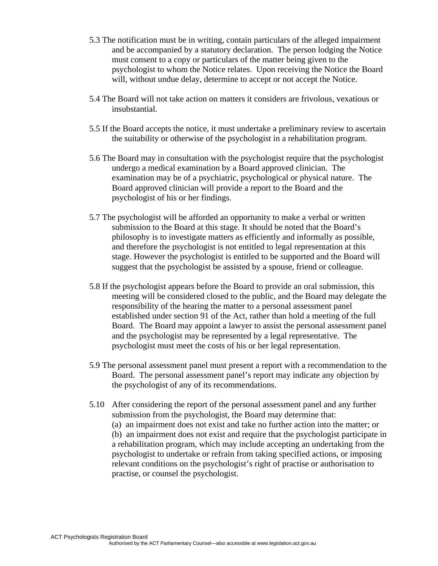- 5.3 The notification must be in writing, contain particulars of the alleged impairment and be accompanied by a statutory declaration. The person lodging the Notice must consent to a copy or particulars of the matter being given to the psychologist to whom the Notice relates. Upon receiving the Notice the Board will, without undue delay, determine to accept or not accept the Notice.
- 5.4 The Board will not take action on matters it considers are frivolous, vexatious or insubstantial.
- 5.5 If the Board accepts the notice, it must undertake a preliminary review to ascertain the suitability or otherwise of the psychologist in a rehabilitation program.
- 5.6 The Board may in consultation with the psychologist require that the psychologist undergo a medical examination by a Board approved clinician. The examination may be of a psychiatric, psychological or physical nature. The Board approved clinician will provide a report to the Board and the psychologist of his or her findings.
- 5.7 The psychologist will be afforded an opportunity to make a verbal or written submission to the Board at this stage. It should be noted that the Board's philosophy is to investigate matters as efficiently and informally as possible, and therefore the psychologist is not entitled to legal representation at this stage. However the psychologist is entitled to be supported and the Board will suggest that the psychologist be assisted by a spouse, friend or colleague.
- 5.8 If the psychologist appears before the Board to provide an oral submission, this meeting will be considered closed to the public, and the Board may delegate the responsibility of the hearing the matter to a personal assessment panel established under section 91 of the Act, rather than hold a meeting of the full Board. The Board may appoint a lawyer to assist the personal assessment panel and the psychologist may be represented by a legal representative. The psychologist must meet the costs of his or her legal representation.
- 5.9 The personal assessment panel must present a report with a recommendation to the Board. The personal assessment panel's report may indicate any objection by the psychologist of any of its recommendations.
- 5.10 After considering the report of the personal assessment panel and any further submission from the psychologist, the Board may determine that: (a) an impairment does not exist and take no further action into the matter; or (b) an impairment does not exist and require that the psychologist participate in a rehabilitation program, which may include accepting an undertaking from the psychologist to undertake or refrain from taking specified actions, or imposing relevant conditions on the psychologist's right of practise or authorisation to practise, or counsel the psychologist.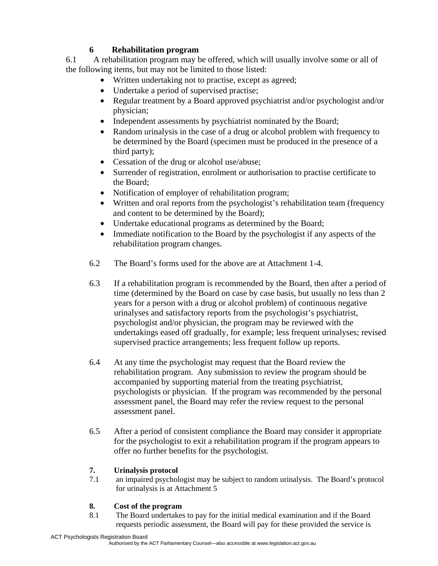## **6 Rehabilitation program**

6.1 A rehabilitation program may be offered, which will usually involve some or all of the following items, but may not be limited to those listed:

- Written undertaking not to practise, except as agreed;
- Undertake a period of supervised practise;
- Regular treatment by a Board approved psychiatrist and/or psychologist and/or physician;
- Independent assessments by psychiatrist nominated by the Board;
- Random urinalysis in the case of a drug or alcohol problem with frequency to be determined by the Board (specimen must be produced in the presence of a third party);
- Cessation of the drug or alcohol use/abuse;
- Surrender of registration, enrolment or authorisation to practise certificate to the Board;
- Notification of employer of rehabilitation program;
- Written and oral reports from the psychologist's rehabilitation team (frequency and content to be determined by the Board);
- Undertake educational programs as determined by the Board;
- Immediate notification to the Board by the psychologist if any aspects of the rehabilitation program changes.
- 6.2 The Board's forms used for the above are at Attachment 1-4.
- 6.3 If a rehabilitation program is recommended by the Board, then after a period of time (determined by the Board on case by case basis, but usually no less than 2 years for a person with a drug or alcohol problem) of continuous negative urinalyses and satisfactory reports from the psychologist's psychiatrist, psychologist and/or physician, the program may be reviewed with the undertakings eased off gradually, for example; less frequent urinalyses; revised supervised practice arrangements; less frequent follow up reports.
- 6.4 At any time the psychologist may request that the Board review the rehabilitation program. Any submission to review the program should be accompanied by supporting material from the treating psychiatrist, psychologists or physician. If the program was recommended by the personal assessment panel, the Board may refer the review request to the personal assessment panel.
- 6.5 After a period of consistent compliance the Board may consider it appropriate for the psychologist to exit a rehabilitation program if the program appears to offer no further benefits for the psychologist.

# **7. Urinalysis protocol**

7.1 an impaired psychologist may be subject to random urinalysis. The Board's protocol for urinalysis is at Attachment 5

## **8. Cost of the program**

8.1 The Board undertakes to pay for the initial medical examination and if the Board requests periodic assessment, the Board will pay for these provided the service is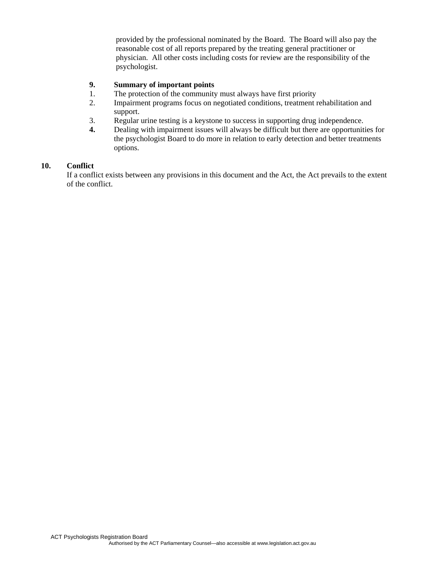provided by the professional nominated by the Board. The Board will also pay the reasonable cost of all reports prepared by the treating general practitioner or physician. All other costs including costs for review are the responsibility of the psychologist.

#### **9. Summary of important points**

- 1. The protection of the community must always have first priority
- 2. Impairment programs focus on negotiated conditions, treatment rehabilitation and support.
- 3. Regular urine testing is a keystone to success in supporting drug independence.<br>4. Dealing with impairment issues will always be difficult but there are opportunity
- **4.** Dealing with impairment issues will always be difficult but there are opportunities for the psychologist Board to do more in relation to early detection and better treatments options.

#### **10. Conflict**

If a conflict exists between any provisions in this document and the Act, the Act prevails to the extent of the conflict.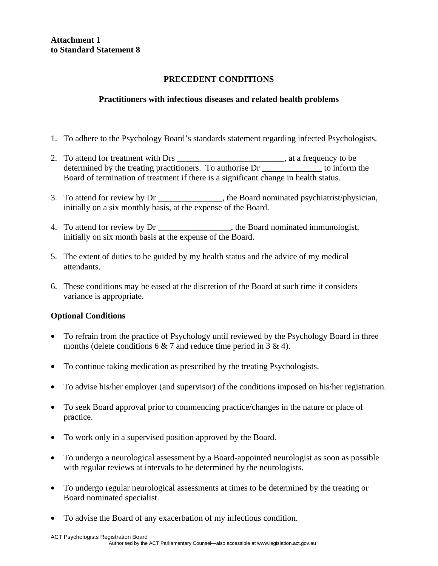**Attachment 1 to Standard Statement 8** 

## **PRECEDENT CONDITIONS**

## **Practitioners with infectious diseases and related health problems**

- 1. To adhere to the Psychology Board's standards statement regarding infected Psychologists.
- 2. To attend for treatment with Drs \_\_\_\_\_\_\_\_\_\_\_\_\_\_\_\_\_\_\_\_\_\_\_\_\_, at a frequency to be determined by the treating practitioners. To authorise Dr \_\_\_\_\_\_\_\_\_\_\_\_\_\_ to inform the Board of termination of treatment if there is a significant change in health status.
- 3. To attend for review by Dr \_\_\_\_\_\_\_\_\_\_\_\_\_\_\_, the Board nominated psychiatrist/physician, initially on a six monthly basis, at the expense of the Board.
- 4. To attend for review by Dr \_\_\_\_\_\_\_\_\_\_\_\_\_\_\_\_\_, the Board nominated immunologist, initially on six month basis at the expense of the Board.
- 5. The extent of duties to be guided by my health status and the advice of my medical attendants.
- 6. These conditions may be eased at the discretion of the Board at such time it considers variance is appropriate.

- To refrain from the practice of Psychology until reviewed by the Psychology Board in three months (delete conditions 6  $\&$  7 and reduce time period in 3  $\&$  4).
- To continue taking medication as prescribed by the treating Psychologists.
- To advise his/her employer (and supervisor) of the conditions imposed on his/her registration.
- To seek Board approval prior to commencing practice/changes in the nature or place of practice.
- To work only in a supervised position approved by the Board.
- To undergo a neurological assessment by a Board-appointed neurologist as soon as possible with regular reviews at intervals to be determined by the neurologists.
- To undergo regular neurological assessments at times to be determined by the treating or Board nominated specialist.
- To advise the Board of any exacerbation of my infectious condition.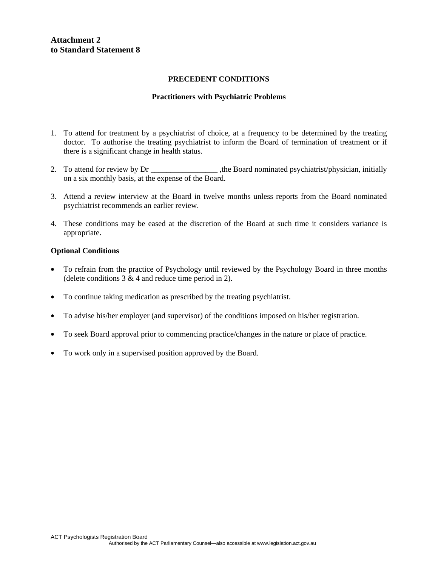#### **Attachment 2 to Standard Statement 8**

#### **PRECEDENT CONDITIONS**

#### **Practitioners with Psychiatric Problems**

- 1. To attend for treatment by a psychiatrist of choice, at a frequency to be determined by the treating doctor. To authorise the treating psychiatrist to inform the Board of termination of treatment or if there is a significant change in health status.
- 2. To attend for review by Dr \_\_\_\_\_\_\_\_\_\_\_\_\_\_\_\_\_\_\_, the Board nominated psychiatrist/physician, initially on a six monthly basis, at the expense of the Board.
- 3. Attend a review interview at the Board in twelve months unless reports from the Board nominated psychiatrist recommends an earlier review.
- 4. These conditions may be eased at the discretion of the Board at such time it considers variance is appropriate.

- To refrain from the practice of Psychology until reviewed by the Psychology Board in three months (delete conditions  $3 \& 4$  and reduce time period in 2).
- To continue taking medication as prescribed by the treating psychiatrist.
- To advise his/her employer (and supervisor) of the conditions imposed on his/her registration.
- To seek Board approval prior to commencing practice/changes in the nature or place of practice.
- To work only in a supervised position approved by the Board.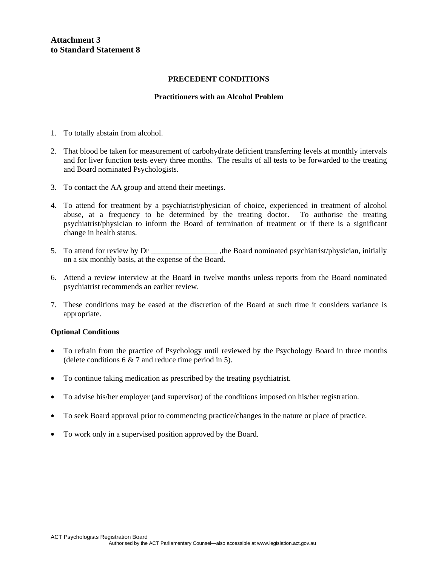**Attachment 3 to Standard Statement 8** 

#### **PRECEDENT CONDITIONS**

#### **Practitioners with an Alcohol Problem**

- 1. To totally abstain from alcohol.
- 2. That blood be taken for measurement of carbohydrate deficient transferring levels at monthly intervals and for liver function tests every three months. The results of all tests to be forwarded to the treating and Board nominated Psychologists.
- 3. To contact the AA group and attend their meetings.
- 4. To attend for treatment by a psychiatrist/physician of choice, experienced in treatment of alcohol abuse, at a frequency to be determined by the treating doctor. To authorise the treating psychiatrist/physician to inform the Board of termination of treatment or if there is a significant change in health status.
- 5. To attend for review by Dr  $\qquad \qquad$  , the Board nominated psychiatrist/physician, initially on a six monthly basis, at the expense of the Board.
- 6. Attend a review interview at the Board in twelve months unless reports from the Board nominated psychiatrist recommends an earlier review.
- 7. These conditions may be eased at the discretion of the Board at such time it considers variance is appropriate.

- To refrain from the practice of Psychology until reviewed by the Psychology Board in three months (delete conditions  $6 \& 7$  and reduce time period in 5).
- To continue taking medication as prescribed by the treating psychiatrist.
- To advise his/her employer (and supervisor) of the conditions imposed on his/her registration.
- To seek Board approval prior to commencing practice/changes in the nature or place of practice.
- To work only in a supervised position approved by the Board.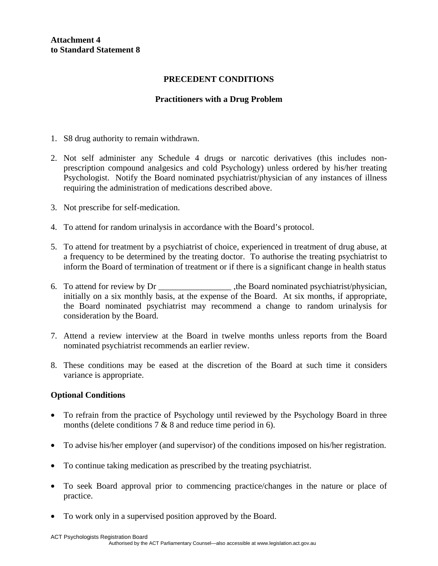**Attachment 4 to Standard Statement 8** 

#### **PRECEDENT CONDITIONS**

#### **Practitioners with a Drug Problem**

- 1. S8 drug authority to remain withdrawn.
- 2. Not self administer any Schedule 4 drugs or narcotic derivatives (this includes nonprescription compound analgesics and cold Psychology) unless ordered by his/her treating Psychologist. Notify the Board nominated psychiatrist/physician of any instances of illness requiring the administration of medications described above.
- 3. Not prescribe for self-medication.
- 4. To attend for random urinalysis in accordance with the Board's protocol.
- 5. To attend for treatment by a psychiatrist of choice, experienced in treatment of drug abuse, at a frequency to be determined by the treating doctor. To authorise the treating psychiatrist to inform the Board of termination of treatment or if there is a significant change in health status
- 6. To attend for review by Dr \_\_\_\_\_\_\_\_\_\_\_\_\_\_\_\_\_ ,the Board nominated psychiatrist/physician, initially on a six monthly basis, at the expense of the Board. At six months, if appropriate, the Board nominated psychiatrist may recommend a change to random urinalysis for consideration by the Board.
- 7. Attend a review interview at the Board in twelve months unless reports from the Board nominated psychiatrist recommends an earlier review.
- 8. These conditions may be eased at the discretion of the Board at such time it considers variance is appropriate.

- To refrain from the practice of Psychology until reviewed by the Psychology Board in three months (delete conditions 7 & 8 and reduce time period in 6).
- To advise his/her employer (and supervisor) of the conditions imposed on his/her registration.
- To continue taking medication as prescribed by the treating psychiatrist.
- To seek Board approval prior to commencing practice/changes in the nature or place of practice.
- To work only in a supervised position approved by the Board.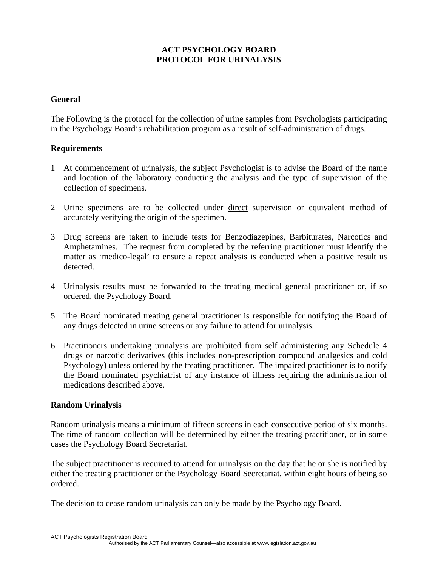## **ACT PSYCHOLOGY BOARD PROTOCOL FOR URINALYSIS**

#### **General**

The Following is the protocol for the collection of urine samples from Psychologists participating in the Psychology Board's rehabilitation program as a result of self-administration of drugs.

#### **Requirements**

- 1 At commencement of urinalysis, the subject Psychologist is to advise the Board of the name and location of the laboratory conducting the analysis and the type of supervision of the collection of specimens.
- 2 Urine specimens are to be collected under direct supervision or equivalent method of accurately verifying the origin of the specimen.
- 3 Drug screens are taken to include tests for Benzodiazepines, Barbiturates, Narcotics and Amphetamines. The request from completed by the referring practitioner must identify the matter as 'medico-legal' to ensure a repeat analysis is conducted when a positive result us detected.
- 4 Urinalysis results must be forwarded to the treating medical general practitioner or, if so ordered, the Psychology Board.
- 5 The Board nominated treating general practitioner is responsible for notifying the Board of any drugs detected in urine screens or any failure to attend for urinalysis.
- 6 Practitioners undertaking urinalysis are prohibited from self administering any Schedule 4 drugs or narcotic derivatives (this includes non-prescription compound analgesics and cold Psychology) unless ordered by the treating practitioner. The impaired practitioner is to notify the Board nominated psychiatrist of any instance of illness requiring the administration of medications described above.

#### **Random Urinalysis**

Random urinalysis means a minimum of fifteen screens in each consecutive period of six months. The time of random collection will be determined by either the treating practitioner, or in some cases the Psychology Board Secretariat.

The subject practitioner is required to attend for urinalysis on the day that he or she is notified by either the treating practitioner or the Psychology Board Secretariat, within eight hours of being so ordered.

The decision to cease random urinalysis can only be made by the Psychology Board.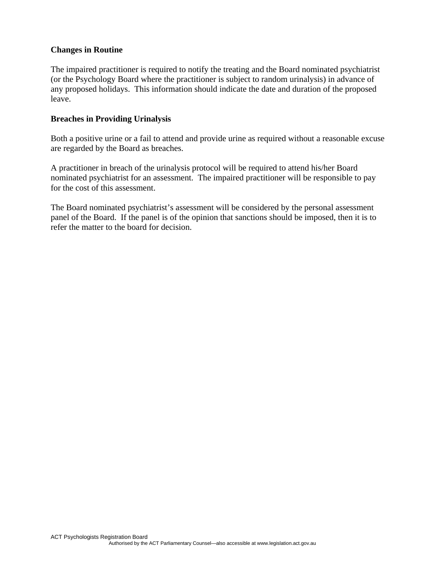#### **Changes in Routine**

The impaired practitioner is required to notify the treating and the Board nominated psychiatrist (or the Psychology Board where the practitioner is subject to random urinalysis) in advance of any proposed holidays. This information should indicate the date and duration of the proposed leave.

#### **Breaches in Providing Urinalysis**

Both a positive urine or a fail to attend and provide urine as required without a reasonable excuse are regarded by the Board as breaches.

A practitioner in breach of the urinalysis protocol will be required to attend his/her Board nominated psychiatrist for an assessment. The impaired practitioner will be responsible to pay for the cost of this assessment.

The Board nominated psychiatrist's assessment will be considered by the personal assessment panel of the Board. If the panel is of the opinion that sanctions should be imposed, then it is to refer the matter to the board for decision.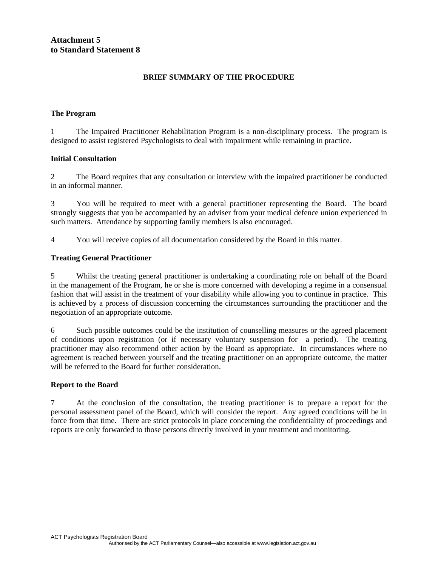#### **BRIEF SUMMARY OF THE PROCEDURE**

#### **The Program**

1 The Impaired Practitioner Rehabilitation Program is a non-disciplinary process. The program is designed to assist registered Psychologists to deal with impairment while remaining in practice.

#### **Initial Consultation**

2 The Board requires that any consultation or interview with the impaired practitioner be conducted in an informal manner.

3 You will be required to meet with a general practitioner representing the Board. The board strongly suggests that you be accompanied by an adviser from your medical defence union experienced in such matters. Attendance by supporting family members is also encouraged.

4 You will receive copies of all documentation considered by the Board in this matter.

#### **Treating General Practitioner**

5 Whilst the treating general practitioner is undertaking a coordinating role on behalf of the Board in the management of the Program, he or she is more concerned with developing a regime in a consensual fashion that will assist in the treatment of your disability while allowing you to continue in practice. This is achieved by a process of discussion concerning the circumstances surrounding the practitioner and the negotiation of an appropriate outcome.

6 Such possible outcomes could be the institution of counselling measures or the agreed placement of conditions upon registration (or if necessary voluntary suspension for a period). The treating practitioner may also recommend other action by the Board as appropriate. In circumstances where no agreement is reached between yourself and the treating practitioner on an appropriate outcome, the matter will be referred to the Board for further consideration.

#### **Report to the Board**

7 At the conclusion of the consultation, the treating practitioner is to prepare a report for the personal assessment panel of the Board, which will consider the report. Any agreed conditions will be in force from that time. There are strict protocols in place concerning the confidentiality of proceedings and reports are only forwarded to those persons directly involved in your treatment and monitoring.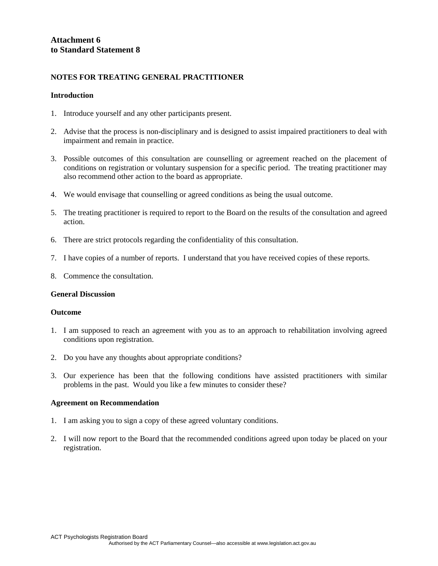#### **NOTES FOR TREATING GENERAL PRACTITIONER**

#### **Introduction**

- 1. Introduce yourself and any other participants present.
- 2. Advise that the process is non-disciplinary and is designed to assist impaired practitioners to deal with impairment and remain in practice.
- 3. Possible outcomes of this consultation are counselling or agreement reached on the placement of conditions on registration or voluntary suspension for a specific period. The treating practitioner may also recommend other action to the board as appropriate.
- 4. We would envisage that counselling or agreed conditions as being the usual outcome.
- 5. The treating practitioner is required to report to the Board on the results of the consultation and agreed action.
- 6. There are strict protocols regarding the confidentiality of this consultation.
- 7. I have copies of a number of reports. I understand that you have received copies of these reports.
- 8. Commence the consultation.

#### **General Discussion**

#### **Outcome**

- 1. I am supposed to reach an agreement with you as to an approach to rehabilitation involving agreed conditions upon registration.
- 2. Do you have any thoughts about appropriate conditions?
- 3. Our experience has been that the following conditions have assisted practitioners with similar problems in the past. Would you like a few minutes to consider these?

#### **Agreement on Recommendation**

- 1. I am asking you to sign a copy of these agreed voluntary conditions.
- 2. I will now report to the Board that the recommended conditions agreed upon today be placed on your registration.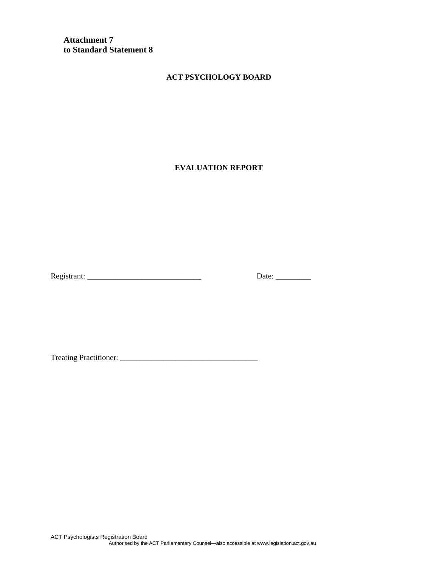**Attachment 7 to Standard Statement 8** 

#### **ACT PSYCHOLOGY BOARD**

**EVALUATION REPORT** 

Registrant: \_\_\_\_\_\_\_\_\_\_\_\_\_\_\_\_\_\_\_\_\_\_\_\_\_\_\_\_\_ Date: \_\_\_\_\_\_\_\_\_

Treating Practitioner: \_\_\_\_\_\_\_\_\_\_\_\_\_\_\_\_\_\_\_\_\_\_\_\_\_\_\_\_\_\_\_\_\_\_\_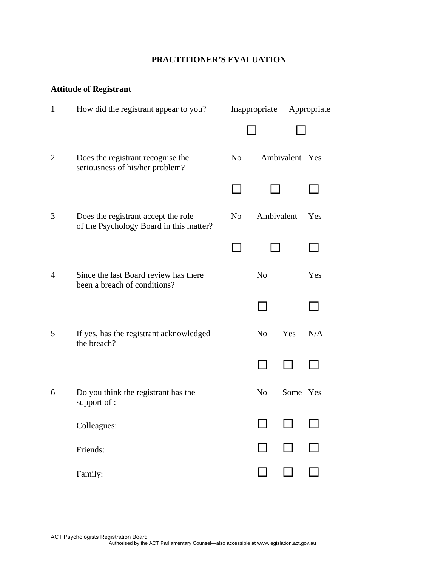# **PRACTITIONER'S EVALUATION**

# **Attitude of Registrant**

| $\mathbf{1}$   | How did the registrant appear to you?                                          | Inappropriate  |                | Appropriate    |     |
|----------------|--------------------------------------------------------------------------------|----------------|----------------|----------------|-----|
|                |                                                                                |                |                |                |     |
| $\overline{2}$ | Does the registrant recognise the<br>seriousness of his/her problem?           | N <sub>o</sub> |                | Ambivalent Yes |     |
|                |                                                                                |                |                |                |     |
| 3              | Does the registrant accept the role<br>of the Psychology Board in this matter? | N <sub>o</sub> | Ambivalent     |                | Yes |
|                |                                                                                |                |                |                |     |
| $\overline{4}$ | Since the last Board review has there<br>been a breach of conditions?          |                | N <sub>o</sub> |                | Yes |
|                |                                                                                |                |                |                |     |
| 5              | If yes, has the registrant acknowledged<br>the breach?                         |                | N <sub>o</sub> | Yes            | N/A |
|                |                                                                                |                |                |                |     |
| 6              | Do you think the registrant has the<br>support of :                            |                | N <sub>0</sub> | Some Yes       |     |
|                | Colleagues:                                                                    |                |                | ப              |     |
|                | Friends:                                                                       |                |                | $\mathsf{L}$   |     |
|                | Family:                                                                        |                | $\Box$         |                |     |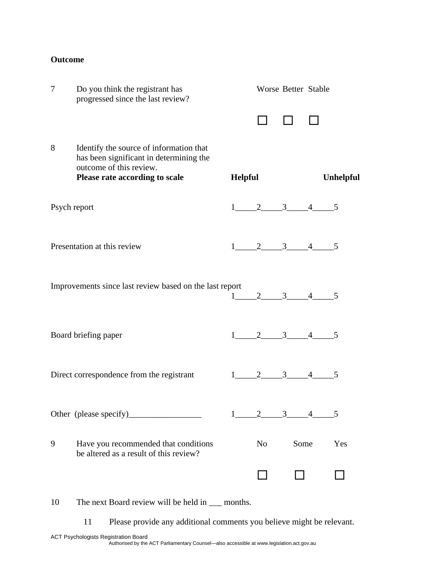## **Outcome**

| 7            | Do you think the registrant has<br>progressed since the last review?                                                                            |         |                         | Worse Better Stable |                  |
|--------------|-------------------------------------------------------------------------------------------------------------------------------------------------|---------|-------------------------|---------------------|------------------|
|              |                                                                                                                                                 |         |                         |                     |                  |
| 8            | Identify the source of information that<br>has been significant in determining the<br>outcome of this review.<br>Please rate according to scale | Helpful |                         |                     | <b>Unhelpful</b> |
| Psych report |                                                                                                                                                 |         | $1 \_2 \_3 \_4 \_5$     |                     |                  |
|              | Presentation at this review                                                                                                                     |         | $1 \t 2 \t 3 \t 4 \t 5$ |                     |                  |
|              | Improvements since last review based on the last report                                                                                         |         | $1 \_2 \_3 \_4 \_5$     |                     |                  |
|              | Board briefing paper                                                                                                                            |         | $1 \t 2 \t 3 \t 4 \t 5$ |                     |                  |
|              | Direct correspondence from the registrant                                                                                                       |         | $1 \t 2 \t 3 \t 4 \t 5$ |                     |                  |
|              |                                                                                                                                                 |         | $1 \t 2 \t 3 \t 4 \t 5$ |                     |                  |
| 9            | Have you recommended that conditions<br>be altered as a result of this review?                                                                  |         | N <sub>o</sub>          | Some                | Yes              |
|              |                                                                                                                                                 |         |                         |                     |                  |

10 The next Board review will be held in  $\text{...}$  months.

11 Please provide any additional comments you believe might be relevant.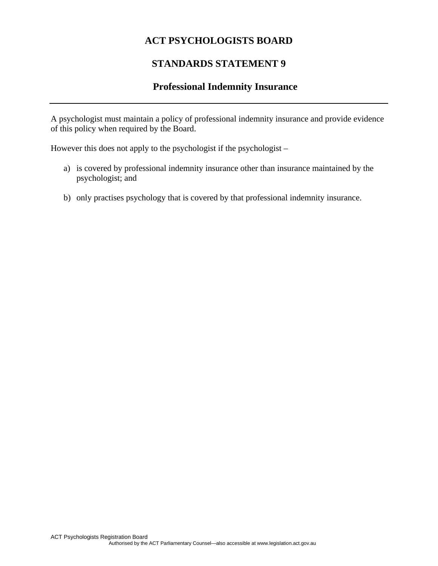# **STANDARDS STATEMENT 9**

# **Professional Indemnity Insurance**

A psychologist must maintain a policy of professional indemnity insurance and provide evidence of this policy when required by the Board.

However this does not apply to the psychologist if the psychologist –

- a) is covered by professional indemnity insurance other than insurance maintained by the psychologist; and
- b) only practises psychology that is covered by that professional indemnity insurance.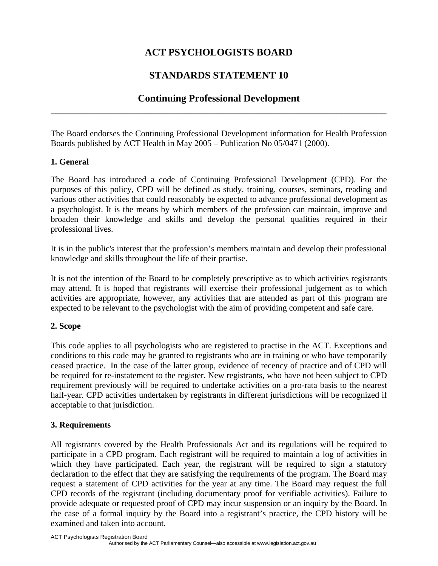# **STANDARDS STATEMENT 10**

# **Continuing Professional Development \_\_\_\_\_\_\_\_\_\_\_\_\_\_\_\_\_\_\_\_\_\_\_\_\_\_\_\_\_\_\_\_\_\_\_\_\_\_\_\_\_\_\_\_\_\_\_\_\_\_\_\_\_\_\_\_\_\_\_\_\_\_\_\_\_\_\_**

The Board endorses the Continuing Professional Development information for Health Profession Boards published by ACT Health in May 2005 – Publication No 05/0471 (2000).

# **1. General**

The Board has introduced a code of Continuing Professional Development (CPD). For the purposes of this policy, CPD will be defined as study, training, courses, seminars, reading and various other activities that could reasonably be expected to advance professional development as a psychologist. It is the means by which members of the profession can maintain, improve and broaden their knowledge and skills and develop the personal qualities required in their professional lives.

It is in the public's interest that the profession's members maintain and develop their professional knowledge and skills throughout the life of their practise.

It is not the intention of the Board to be completely prescriptive as to which activities registrants may attend. It is hoped that registrants will exercise their professional judgement as to which activities are appropriate, however, any activities that are attended as part of this program are expected to be relevant to the psychologist with the aim of providing competent and safe care.

# **2. Scope**

This code applies to all psychologists who are registered to practise in the ACT. Exceptions and conditions to this code may be granted to registrants who are in training or who have temporarily ceased practice. In the case of the latter group, evidence of recency of practice and of CPD will be required for re-instatement to the register. New registrants, who have not been subject to CPD requirement previously will be required to undertake activities on a pro-rata basis to the nearest half-year. CPD activities undertaken by registrants in different jurisdictions will be recognized if acceptable to that jurisdiction.

## **3. Requirements**

All registrants covered by the Health Professionals Act and its regulations will be required to participate in a CPD program. Each registrant will be required to maintain a log of activities in which they have participated. Each year, the registrant will be required to sign a statutory declaration to the effect that they are satisfying the requirements of the program. The Board may request a statement of CPD activities for the year at any time. The Board may request the full CPD records of the registrant (including documentary proof for verifiable activities). Failure to provide adequate or requested proof of CPD may incur suspension or an inquiry by the Board. In the case of a formal inquiry by the Board into a registrant's practice, the CPD history will be examined and taken into account.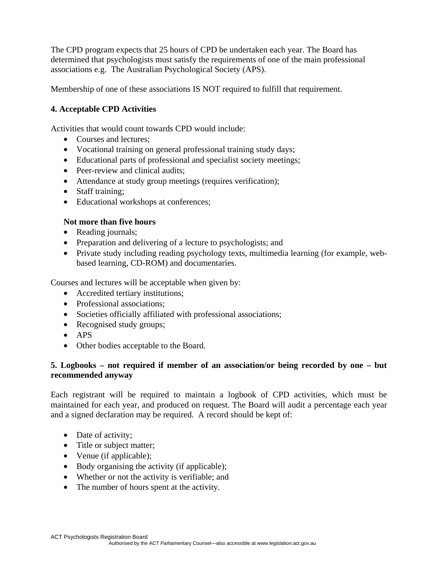The CPD program expects that 25 hours of CPD be undertaken each year. The Board has determined that psychologists must satisfy the requirements of one of the main professional associations e.g. The Australian Psychological Society (APS).

Membership of one of these associations IS NOT required to fulfill that requirement.

# **4. Acceptable CPD Activities**

Activities that would count towards CPD would include:

- Courses and lectures:
- Vocational training on general professional training study days;
- Educational parts of professional and specialist society meetings;
- Peer-review and clinical audits:
- Attendance at study group meetings (requires verification);
- Staff training:
- Educational workshops at conferences;

# **Not more than five hours**

- Reading journals;
- Preparation and delivering of a lecture to psychologists; and
- Private study including reading psychology texts, multimedia learning (for example, webbased learning, CD-ROM) and documentaries.

Courses and lectures will be acceptable when given by:

- Accredited tertiary institutions;
- Professional associations:
- Societies officially affiliated with professional associations;
- Recognised study groups;
- APS
- Other bodies acceptable to the Board.

## **5. Logbooks – not required if member of an association/or being recorded by one – but recommended anyway**

Each registrant will be required to maintain a logbook of CPD activities, which must be maintained for each year, and produced on request. The Board will audit a percentage each year and a signed declaration may be required. A record should be kept of:

- Date of activity;
- Title or subject matter;
- Venue (if applicable);
- Body organising the activity (if applicable);
- Whether or not the activity is verifiable; and
- The number of hours spent at the activity.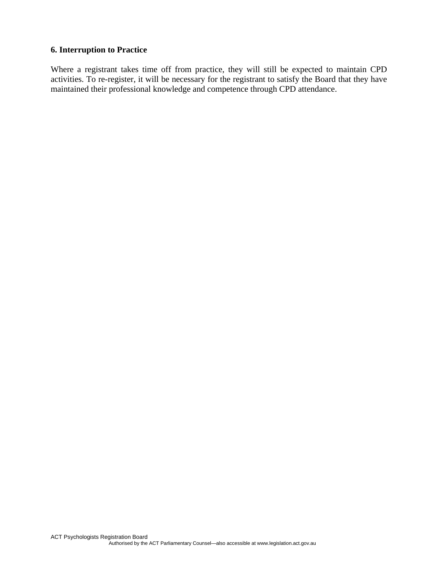### **6. Interruption to Practice**

Where a registrant takes time off from practice, they will still be expected to maintain CPD activities. To re-register, it will be necessary for the registrant to satisfy the Board that they have maintained their professional knowledge and competence through CPD attendance.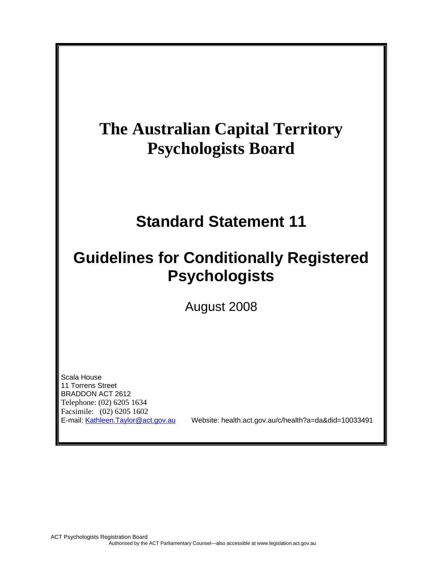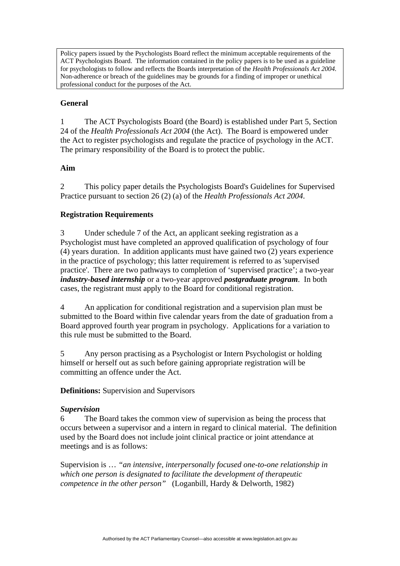Policy papers issued by the Psychologists Board reflect the minimum acceptable requirements of the ACT Psychologists Board. The information contained in the policy papers is to be used as a guideline for psychologists to follow and reflects the Boards interpretation of the *Health Professionals Act 2004.* Non-adherence or breach of the guidelines may be grounds for a finding of improper or unethical professional conduct for the purposes of the Act.

## **General**

1 The ACT Psychologists Board (the Board) is established under Part 5, Section 24 of the *Health Professionals Act 2004* (the Act). The Board is empowered under the Act to register psychologists and regulate the practice of psychology in the ACT. The primary responsibility of the Board is to protect the public.

## **Aim**

2 This policy paper details the Psychologists Board's Guidelines for Supervised Practice pursuant to section 26 (2) (a) of the *Health Professionals Act 2004*.

# **Registration Requirements**

3 Under schedule 7 of the Act, an applicant seeking registration as a Psychologist must have completed an approved qualification of psychology of four (4) years duration. In addition applicants must have gained two (2) years experience in the practice of psychology; this latter requirement is referred to as 'supervised practice'. There are two pathways to completion of 'supervised practice'; a two-year *industry-based internship* or a two-year approved *postgraduate program*. In both cases, the registrant must apply to the Board for conditional registration.

4 An application for conditional registration and a supervision plan must be submitted to the Board within five calendar years from the date of graduation from a Board approved fourth year program in psychology. Applications for a variation to this rule must be submitted to the Board.

5 Any person practising as a Psychologist or Intern Psychologist or holding himself or herself out as such before gaining appropriate registration will be committing an offence under the Act.

**Definitions:** Supervision and Supervisors

## *Supervision*

6 The Board takes the common view of supervision as being the process that occurs between a supervisor and a intern in regard to clinical material. The definition used by the Board does not include joint clinical practice or joint attendance at meetings and is as follows:

Supervision is … *"an intensive, interpersonally focused one-to-one relationship in which one person is designated to facilitate the development of therapeutic competence in the other person"* (Loganbill, Hardy & Delworth, 1982)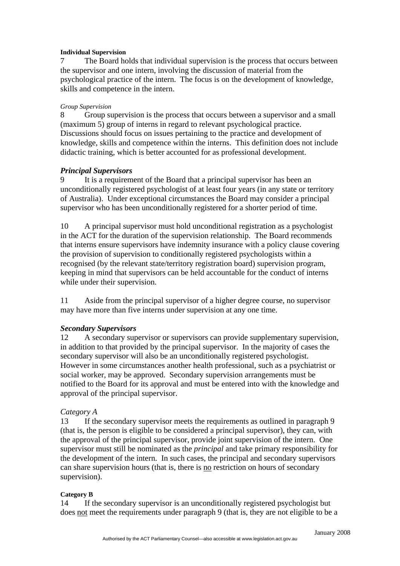#### **Individual Supervision**

7 The Board holds that individual supervision is the process that occurs between the supervisor and one intern, involving the discussion of material from the psychological practice of the intern. The focus is on the development of knowledge, skills and competence in the intern.

#### *Group Supervision*

8 Group supervision is the process that occurs between a supervisor and a small (maximum 5) group of interns in regard to relevant psychological practice. Discussions should focus on issues pertaining to the practice and development of knowledge, skills and competence within the interns. This definition does not include didactic training, which is better accounted for as professional development.

### *Principal Supervisors*

9 It is a requirement of the Board that a principal supervisor has been an unconditionally registered psychologist of at least four years (in any state or territory of Australia). Under exceptional circumstances the Board may consider a principal supervisor who has been unconditionally registered for a shorter period of time.

10 A principal supervisor must hold unconditional registration as a psychologist in the ACT for the duration of the supervision relationship. The Board recommends that interns ensure supervisors have indemnity insurance with a policy clause covering the provision of supervision to conditionally registered psychologists within a recognised (by the relevant state/territory registration board) supervision program, keeping in mind that supervisors can be held accountable for the conduct of interns while under their supervision.

11 Aside from the principal supervisor of a higher degree course, no supervisor may have more than five interns under supervision at any one time.

#### *Secondary Supervisors*

12 A secondary supervisor or supervisors can provide supplementary supervision, in addition to that provided by the principal supervisor. In the majority of cases the secondary supervisor will also be an unconditionally registered psychologist. However in some circumstances another health professional, such as a psychiatrist or social worker, may be approved. Secondary supervision arrangements must be notified to the Board for its approval and must be entered into with the knowledge and approval of the principal supervisor.

## *Category A*

13 If the secondary supervisor meets the requirements as outlined in paragraph 9 (that is, the person is eligible to be considered a principal supervisor), they can, with the approval of the principal supervisor, provide joint supervision of the intern. One supervisor must still be nominated as the *principal* and take primary responsibility for the development of the intern. In such cases, the principal and secondary supervisors can share supervision hours (that is, there is no restriction on hours of secondary supervision).

#### **Category B**

14 If the secondary supervisor is an unconditionally registered psychologist but does not meet the requirements under paragraph 9 (that is, they are not eligible to be a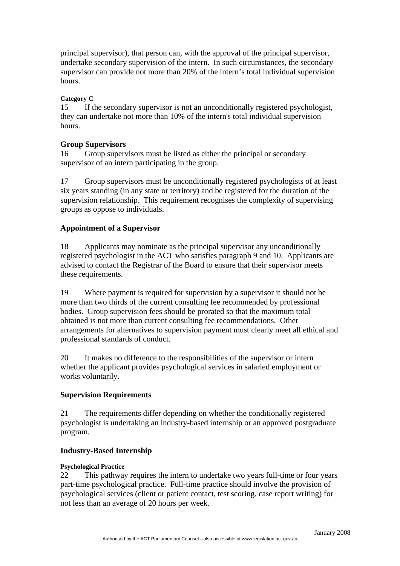principal supervisor), that person can, with the approval of the principal supervisor, undertake secondary supervision of the intern. In such circumstances, the secondary supervisor can provide not more than 20% of the intern's total individual supervision hours.

### **Category C**

15 If the secondary supervisor is not an unconditionally registered psychologist, they can undertake not more than 10% of the intern's total individual supervision hours.

## **Group Supervisors**

16 Group supervisors must be listed as either the principal or secondary supervisor of an intern participating in the group.

17 Group supervisors must be unconditionally registered psychologists of at least six years standing (in any state or territory) and be registered for the duration of the supervision relationship. This requirement recognises the complexity of supervising groups as oppose to individuals.

## **Appointment of a Supervisor**

18 Applicants may nominate as the principal supervisor any unconditionally registered psychologist in the ACT who satisfies paragraph 9 and 10. Applicants are advised to contact the Registrar of the Board to ensure that their supervisor meets these requirements.

19 Where payment is required for supervision by a supervisor it should not be more than two thirds of the current consulting fee recommended by professional bodies. Group supervision fees should be prorated so that the maximum total obtained is not more than current consulting fee recommendations. Other arrangements for alternatives to supervision payment must clearly meet all ethical and professional standards of conduct.

20 It makes no difference to the responsibilities of the supervisor or intern whether the applicant provides psychological services in salaried employment or works voluntarily.

#### **Supervision Requirements**

21 The requirements differ depending on whether the conditionally registered psychologist is undertaking an industry-based internship or an approved postgraduate program.

#### **Industry-Based Internship**

#### **Psychological Practice**

22 This pathway requires the intern to undertake two years full-time or four years part-time psychological practice. Full-time practice should involve the provision of psychological services (client or patient contact, test scoring, case report writing) for not less than an average of 20 hours per week.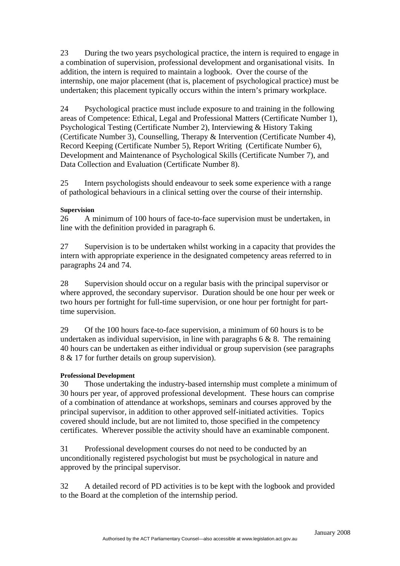23 During the two years psychological practice, the intern is required to engage in a combination of supervision, professional development and organisational visits. In addition, the intern is required to maintain a logbook. Over the course of the internship, one major placement (that is, placement of psychological practice) must be undertaken; this placement typically occurs within the intern's primary workplace.

24 Psychological practice must include exposure to and training in the following areas of Competence: Ethical, Legal and Professional Matters (Certificate Number 1), Psychological Testing (Certificate Number 2), Interviewing & History Taking (Certificate Number 3), Counselling, Therapy & Intervention (Certificate Number 4), Record Keeping (Certificate Number 5), Report Writing (Certificate Number 6), Development and Maintenance of Psychological Skills (Certificate Number 7), and Data Collection and Evaluation (Certificate Number 8).

25 Intern psychologists should endeavour to seek some experience with a range of pathological behaviours in a clinical setting over the course of their internship.

### **Supervision**

26 A minimum of 100 hours of face-to-face supervision must be undertaken, in line with the definition provided in paragraph 6.

27 Supervision is to be undertaken whilst working in a capacity that provides the intern with appropriate experience in the designated competency areas referred to in paragraphs 24 and 74.

28 Supervision should occur on a regular basis with the principal supervisor or where approved, the secondary supervisor. Duration should be one hour per week or two hours per fortnight for full-time supervision, or one hour per fortnight for parttime supervision.

29 Of the 100 hours face-to-face supervision, a minimum of 60 hours is to be undertaken as individual supervision, in line with paragraphs  $6 \& 8$ . The remaining 40 hours can be undertaken as either individual or group supervision (see paragraphs 8 & 17 for further details on group supervision).

#### **Professional Development**

30 Those undertaking the industry-based internship must complete a minimum of 30 hours per year, of approved professional development. These hours can comprise of a combination of attendance at workshops, seminars and courses approved by the principal supervisor, in addition to other approved self-initiated activities. Topics covered should include, but are not limited to, those specified in the competency certificates. Wherever possible the activity should have an examinable component.

31 Professional development courses do not need to be conducted by an unconditionally registered psychologist but must be psychological in nature and approved by the principal supervisor.

32 A detailed record of PD activities is to be kept with the logbook and provided to the Board at the completion of the internship period.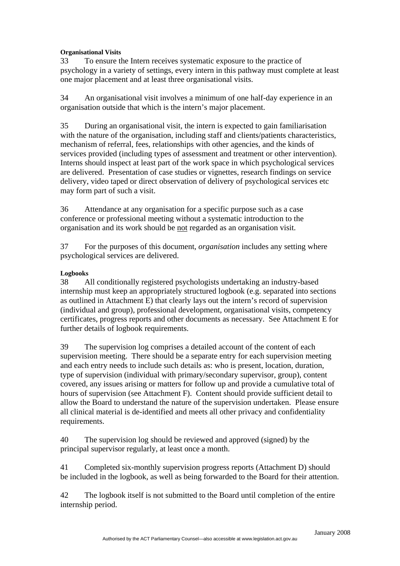#### **Organisational Visits**

33 To ensure the Intern receives systematic exposure to the practice of psychology in a variety of settings, every intern in this pathway must complete at least one major placement and at least three organisational visits.

34 An organisational visit involves a minimum of one half-day experience in an organisation outside that which is the intern's major placement.

35 During an organisational visit, the intern is expected to gain familiarisation with the nature of the organisation, including staff and clients/patients characteristics, mechanism of referral, fees, relationships with other agencies, and the kinds of services provided (including types of assessment and treatment or other intervention). Interns should inspect at least part of the work space in which psychological services are delivered. Presentation of case studies or vignettes, research findings on service delivery, video taped or direct observation of delivery of psychological services etc may form part of such a visit.

36 Attendance at any organisation for a specific purpose such as a case conference or professional meeting without a systematic introduction to the organisation and its work should be not regarded as an organisation visit.

37 For the purposes of this document, *organisation* includes any setting where psychological services are delivered.

#### **Logbooks**

38 All conditionally registered psychologists undertaking an industry-based internship must keep an appropriately structured logbook (e.g. separated into sections as outlined in Attachment E) that clearly lays out the intern's record of supervision (individual and group), professional development, organisational visits, competency certificates, progress reports and other documents as necessary. See Attachment E for further details of logbook requirements.

39 The supervision log comprises a detailed account of the content of each supervision meeting. There should be a separate entry for each supervision meeting and each entry needs to include such details as: who is present, location, duration, type of supervision (individual with primary/secondary supervisor, group), content covered, any issues arising or matters for follow up and provide a cumulative total of hours of supervision (see Attachment F). Content should provide sufficient detail to allow the Board to understand the nature of the supervision undertaken. Please ensure all clinical material is de-identified and meets all other privacy and confidentiality requirements.

40 The supervision log should be reviewed and approved (signed) by the principal supervisor regularly, at least once a month.

41 Completed six-monthly supervision progress reports (Attachment D) should be included in the logbook, as well as being forwarded to the Board for their attention.

42 The logbook itself is not submitted to the Board until completion of the entire internship period.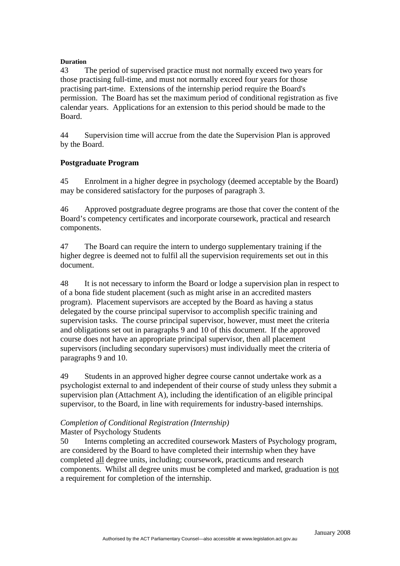#### **Duration**

43 The period of supervised practice must not normally exceed two years for those practising full-time, and must not normally exceed four years for those practising part-time. Extensions of the internship period require the Board's permission. The Board has set the maximum period of conditional registration as five calendar years. Applications for an extension to this period should be made to the Board.

44 Supervision time will accrue from the date the Supervision Plan is approved by the Board.

#### **Postgraduate Program**

45 Enrolment in a higher degree in psychology (deemed acceptable by the Board) may be considered satisfactory for the purposes of paragraph 3.

46 Approved postgraduate degree programs are those that cover the content of the Board's competency certificates and incorporate coursework, practical and research components.

47 The Board can require the intern to undergo supplementary training if the higher degree is deemed not to fulfil all the supervision requirements set out in this document.

48 It is not necessary to inform the Board or lodge a supervision plan in respect to of a bona fide student placement (such as might arise in an accredited masters program). Placement supervisors are accepted by the Board as having a status delegated by the course principal supervisor to accomplish specific training and supervision tasks. The course principal supervisor, however, must meet the criteria and obligations set out in paragraphs 9 and 10 of this document. If the approved course does not have an appropriate principal supervisor, then all placement supervisors (including secondary supervisors) must individually meet the criteria of paragraphs 9 and 10.

49 Students in an approved higher degree course cannot undertake work as a psychologist external to and independent of their course of study unless they submit a supervision plan (Attachment A), including the identification of an eligible principal supervisor, to the Board, in line with requirements for industry-based internships.

#### *Completion of Conditional Registration (Internship)*  Master of Psychology Students

50 Interns completing an accredited coursework Masters of Psychology program, are considered by the Board to have completed their internship when they have completed all degree units, including; coursework, practicums and research components. Whilst all degree units must be completed and marked, graduation is not a requirement for completion of the internship.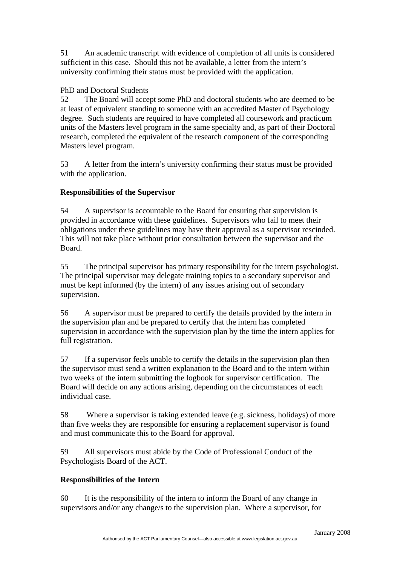51 An academic transcript with evidence of completion of all units is considered sufficient in this case. Should this not be available, a letter from the intern's university confirming their status must be provided with the application.

# PhD and Doctoral Students

52 The Board will accept some PhD and doctoral students who are deemed to be at least of equivalent standing to someone with an accredited Master of Psychology degree. Such students are required to have completed all coursework and practicum units of the Masters level program in the same specialty and, as part of their Doctoral research, completed the equivalent of the research component of the corresponding Masters level program.

53 A letter from the intern's university confirming their status must be provided with the application.

# **Responsibilities of the Supervisor**

54 A supervisor is accountable to the Board for ensuring that supervision is provided in accordance with these guidelines. Supervisors who fail to meet their obligations under these guidelines may have their approval as a supervisor rescinded. This will not take place without prior consultation between the supervisor and the Board.

55 The principal supervisor has primary responsibility for the intern psychologist. The principal supervisor may delegate training topics to a secondary supervisor and must be kept informed (by the intern) of any issues arising out of secondary supervision.

56 A supervisor must be prepared to certify the details provided by the intern in the supervision plan and be prepared to certify that the intern has completed supervision in accordance with the supervision plan by the time the intern applies for full registration.

57 If a supervisor feels unable to certify the details in the supervision plan then the supervisor must send a written explanation to the Board and to the intern within two weeks of the intern submitting the logbook for supervisor certification. The Board will decide on any actions arising, depending on the circumstances of each individual case.

58 Where a supervisor is taking extended leave (e.g. sickness, holidays) of more than five weeks they are responsible for ensuring a replacement supervisor is found and must communicate this to the Board for approval.

59 All supervisors must abide by the Code of Professional Conduct of the Psychologists Board of the ACT.

## **Responsibilities of the Intern**

60 It is the responsibility of the intern to inform the Board of any change in supervisors and/or any change/s to the supervision plan. Where a supervisor, for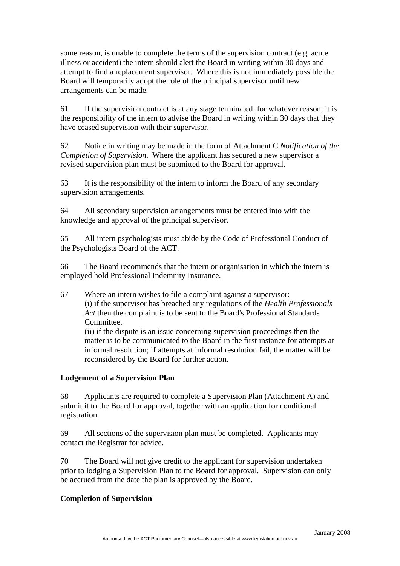some reason, is unable to complete the terms of the supervision contract (e.g. acute illness or accident) the intern should alert the Board in writing within 30 days and attempt to find a replacement supervisor. Where this is not immediately possible the Board will temporarily adopt the role of the principal supervisor until new arrangements can be made.

61 If the supervision contract is at any stage terminated, for whatever reason, it is the responsibility of the intern to advise the Board in writing within 30 days that they have ceased supervision with their supervisor.

62 Notice in writing may be made in the form of Attachment C *Notification of the Completion of Supervision*. Where the applicant has secured a new supervisor a revised supervision plan must be submitted to the Board for approval.

63 It is the responsibility of the intern to inform the Board of any secondary supervision arrangements.

64 All secondary supervision arrangements must be entered into with the knowledge and approval of the principal supervisor.

65 All intern psychologists must abide by the Code of Professional Conduct of the Psychologists Board of the ACT.

66 The Board recommends that the intern or organisation in which the intern is employed hold Professional Indemnity Insurance.

67 Where an intern wishes to file a complaint against a supervisor: (i) if the supervisor has breached any regulations of the *Health Professionals Act* then the complaint is to be sent to the Board's Professional Standards Committee.

 (ii) if the dispute is an issue concerning supervision proceedings then the matter is to be communicated to the Board in the first instance for attempts at informal resolution; if attempts at informal resolution fail, the matter will be reconsidered by the Board for further action.

## **Lodgement of a Supervision Plan**

68 Applicants are required to complete a Supervision Plan (Attachment A) and submit it to the Board for approval, together with an application for conditional registration.

69 All sections of the supervision plan must be completed. Applicants may contact the Registrar for advice.

70 The Board will not give credit to the applicant for supervision undertaken prior to lodging a Supervision Plan to the Board for approval. Supervision can only be accrued from the date the plan is approved by the Board.

## **Completion of Supervision**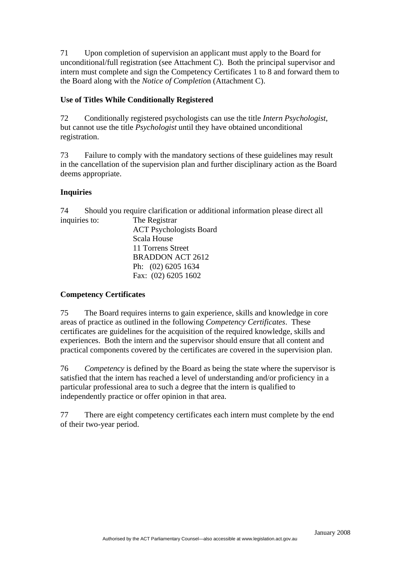71 Upon completion of supervision an applicant must apply to the Board for unconditional/full registration (see Attachment C). Both the principal supervisor and intern must complete and sign the Competency Certificates 1 to 8 and forward them to the Board along with the *Notice of Completio*n (Attachment C).

# **Use of Titles While Conditionally Registered**

72 Conditionally registered psychologists can use the title *Intern Psychologist*, but cannot use the title *Psychologist* until they have obtained unconditional registration.

73 Failure to comply with the mandatory sections of these guidelines may result in the cancellation of the supervision plan and further disciplinary action as the Board deems appropriate.

# **Inquiries**

74 Should you require clarification or additional information please direct all inquiries to: The Registrar

ACT Psychologists Board Scala House 11 Torrens Street BRADDON ACT 2612 Ph: (02) 6205 1634 Fax: (02) 6205 1602

# **Competency Certificates**

75 The Board requires interns to gain experience, skills and knowledge in core areas of practice as outlined in the following *Competency Certificates*. These certificates are guidelines for the acquisition of the required knowledge, skills and experiences. Both the intern and the supervisor should ensure that all content and practical components covered by the certificates are covered in the supervision plan.

76 *Competency* is defined by the Board as being the state where the supervisor is satisfied that the intern has reached a level of understanding and/or proficiency in a particular professional area to such a degree that the intern is qualified to independently practice or offer opinion in that area.

77 There are eight competency certificates each intern must complete by the end of their two-year period.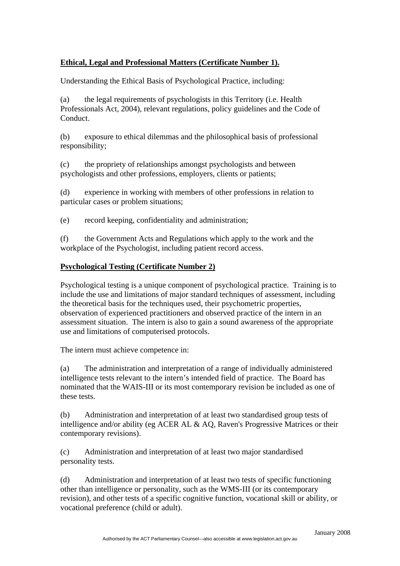# **Ethical, Legal and Professional Matters (Certificate Number 1).**

Understanding the Ethical Basis of Psychological Practice, including:

(a) the legal requirements of psychologists in this Territory (i.e. Health Professionals Act, 2004), relevant regulations, policy guidelines and the Code of Conduct.

(b) exposure to ethical dilemmas and the philosophical basis of professional responsibility;

(c) the propriety of relationships amongst psychologists and between psychologists and other professions, employers, clients or patients;

(d) experience in working with members of other professions in relation to particular cases or problem situations;

(e) record keeping, confidentiality and administration;

(f) the Government Acts and Regulations which apply to the work and the workplace of the Psychologist, including patient record access.

### **Psychological Testing (Certificate Number 2)**

Psychological testing is a unique component of psychological practice. Training is to include the use and limitations of major standard techniques of assessment, including the theoretical basis for the techniques used, their psychometric properties, observation of experienced practitioners and observed practice of the intern in an assessment situation. The intern is also to gain a sound awareness of the appropriate use and limitations of computerised protocols.

The intern must achieve competence in:

(a) The administration and interpretation of a range of individually administered intelligence tests relevant to the intern's intended field of practice. The Board has nominated that the WAIS-III or its most contemporary revision be included as one of these tests.

(b) Administration and interpretation of at least two standardised group tests of intelligence and/or ability (eg ACER AL & AQ, Raven's Progressive Matrices or their contemporary revisions).

(c) Administration and interpretation of at least two major standardised personality tests.

(d) Administration and interpretation of at least two tests of specific functioning other than intelligence or personality, such as the WMS-III (or its contemporary revision), and other tests of a specific cognitive function, vocational skill or ability, or vocational preference (child or adult).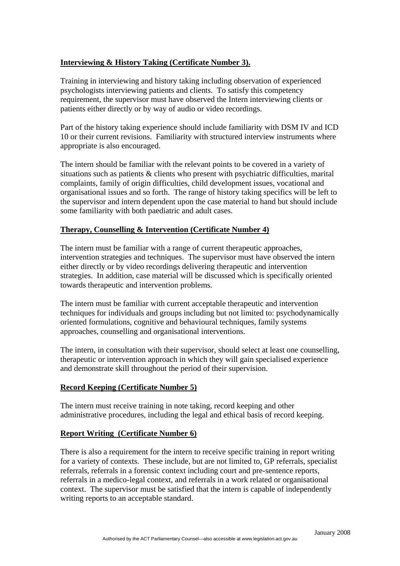## **Interviewing & History Taking (Certificate Number 3).**

Training in interviewing and history taking including observation of experienced psychologists interviewing patients and clients. To satisfy this competency requirement, the supervisor must have observed the Intern interviewing clients or patients either directly or by way of audio or video recordings.

Part of the history taking experience should include familiarity with DSM IV and ICD 10 or their current revisions. Familiarity with structured interview instruments where appropriate is also encouraged.

The intern should be familiar with the relevant points to be covered in a variety of situations such as patients & clients who present with psychiatric difficulties, marital complaints, family of origin difficulties, child development issues, vocational and organisational issues and so forth. The range of history taking specifics will be left to the supervisor and intern dependent upon the case material to hand but should include some familiarity with both paediatric and adult cases.

#### **Therapy, Counselling & Intervention (Certificate Number 4)**

The intern must be familiar with a range of current therapeutic approaches, intervention strategies and techniques. The supervisor must have observed the intern either directly or by video recordings delivering therapeutic and intervention strategies. In addition, case material will be discussed which is specifically oriented towards therapeutic and intervention problems.

The intern must be familiar with current acceptable therapeutic and intervention techniques for individuals and groups including but not limited to: psychodynamically oriented formulations, cognitive and behavioural techniques, family systems approaches, counselling and organisational interventions.

The intern, in consultation with their supervisor, should select at least one counselling, therapeutic or intervention approach in which they will gain specialised experience and demonstrate skill throughout the period of their supervision.

#### **Record Keeping (Certificate Number 5)**

The intern must receive training in note taking, record keeping and other administrative procedures, including the legal and ethical basis of record keeping.

#### **Report Writing (Certificate Number 6)**

There is also a requirement for the intern to receive specific training in report writing for a variety of contexts. These include, but are not limited to, GP referrals, specialist referrals, referrals in a forensic context including court and pre-sentence reports, referrals in a medico-legal context, and referrals in a work related or organisational context. The supervisor must be satisfied that the intern is capable of independently writing reports to an acceptable standard.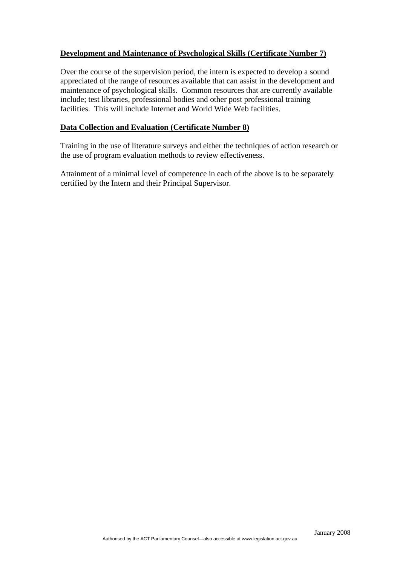## **Development and Maintenance of Psychological Skills (Certificate Number 7)**

Over the course of the supervision period, the intern is expected to develop a sound appreciated of the range of resources available that can assist in the development and maintenance of psychological skills. Common resources that are currently available include; test libraries, professional bodies and other post professional training facilities. This will include Internet and World Wide Web facilities.

#### **Data Collection and Evaluation (Certificate Number 8)**

Training in the use of literature surveys and either the techniques of action research or the use of program evaluation methods to review effectiveness.

Attainment of a minimal level of competence in each of the above is to be separately certified by the Intern and their Principal Supervisor.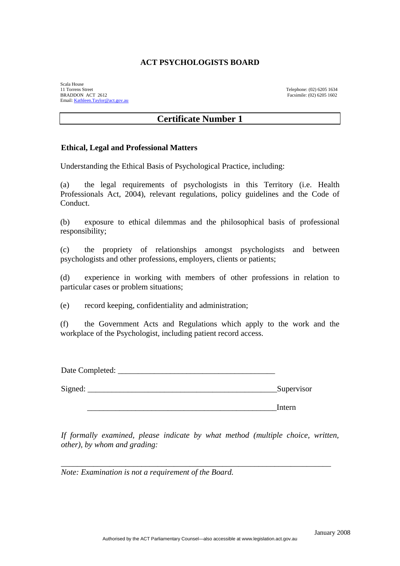Scala House 11 Torrens Street Telephone: (02) 6205 1634<br>
RRADDON ACT 2612 Facsimile: (02) 6205 1602 Email: [Kathleen.Taylor@act.gov.au](mailto:Kathleen.Taylor@act.gov.au)

Facsimile: (02) 6205 1602

## **Certificate Number 1**

#### **Ethical, Legal and Professional Matters**

Understanding the Ethical Basis of Psychological Practice, including:

(a) the legal requirements of psychologists in this Territory (i.e. Health Professionals Act, 2004), relevant regulations, policy guidelines and the Code of Conduct.

(b) exposure to ethical dilemmas and the philosophical basis of professional responsibility;

(c) the propriety of relationships amongst psychologists and between psychologists and other professions, employers, clients or patients;

(d) experience in working with members of other professions in relation to particular cases or problem situations;

(e) record keeping, confidentiality and administration;

(f) the Government Acts and Regulations which apply to the work and the workplace of the Psychologist, including patient record access.

Date Completed:

Signed: Supervisor

\_\_\_\_\_\_\_\_\_\_\_\_\_\_\_\_\_\_\_\_\_\_\_\_\_\_\_\_\_\_\_\_\_\_\_\_\_\_\_\_\_\_\_\_\_\_\_Intern

*If formally examined, please indicate by what method (multiple choice, written, other), by whom and grading:* 

\_\_\_\_\_\_\_\_\_\_\_\_\_\_\_\_\_\_\_\_\_\_\_\_\_\_\_\_\_\_\_\_\_\_\_\_\_\_\_\_\_\_\_\_\_\_\_\_\_\_\_\_\_\_\_\_\_\_\_\_\_\_\_\_\_\_\_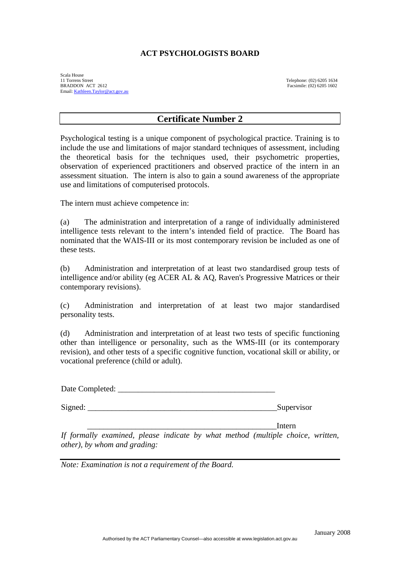Scala House<br>11 Torrens Street<br>BRADDON ACT 2612 11 Torrens Street Telephone: (02) 6205 1634 BRADDON ACT 2612 Facsimile: (02) 6205 1602 Email: [Kathleen.Taylor@act.gov.au](mailto:Kathleen.Taylor@act.gov.au)

# **Certificate Number 2**

Psychological testing is a unique component of psychological practice. Training is to include the use and limitations of major standard techniques of assessment, including the theoretical basis for the techniques used, their psychometric properties, observation of experienced practitioners and observed practice of the intern in an assessment situation. The intern is also to gain a sound awareness of the appropriate use and limitations of computerised protocols.

The intern must achieve competence in:

(a) The administration and interpretation of a range of individually administered intelligence tests relevant to the intern's intended field of practice. The Board has nominated that the WAIS-III or its most contemporary revision be included as one of these tests.

(b) Administration and interpretation of at least two standardised group tests of intelligence and/or ability (eg ACER AL & AQ, Raven's Progressive Matrices or their contemporary revisions).

(c) Administration and interpretation of at least two major standardised personality tests.

(d) Administration and interpretation of at least two tests of specific functioning other than intelligence or personality, such as the WMS-III (or its contemporary revision), and other tests of a specific cognitive function, vocational skill or ability, or vocational preference (child or adult).

Date Completed: \_\_\_\_\_\_\_\_\_\_\_\_\_\_\_\_\_\_\_\_\_\_\_\_\_\_\_\_\_\_\_\_\_\_\_\_\_\_\_

Signed: Supervisor

\_\_\_\_\_\_\_\_\_\_\_\_\_\_\_\_\_\_\_\_\_\_\_\_\_\_\_\_\_\_\_\_\_\_\_\_\_\_\_\_\_\_\_\_\_\_\_Intern

*If formally examined, please indicate by what method (multiple choice, written, other), by whom and grading:*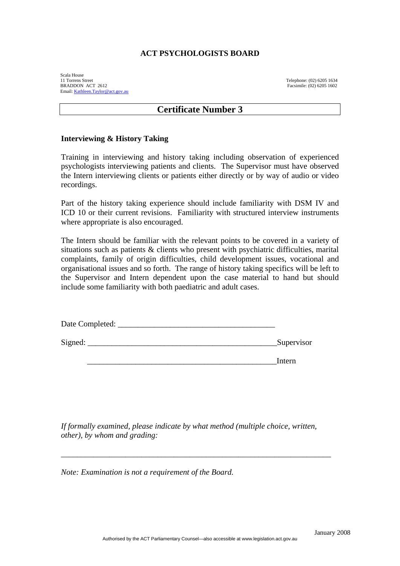Scala House<br>11 Torrens Street<br>BRADDON ACT 2612 11 Torrens Street Telephone: (02) 6205 1634 BRADDON ACT 2612 Facsimile: (02) 6205 1602 Email: [Kathleen.Taylor@act.gov.au](mailto:Kathleen.Taylor@act.gov.au)

# **Certificate Number 3**

#### **Interviewing & History Taking**

Training in interviewing and history taking including observation of experienced psychologists interviewing patients and clients. The Supervisor must have observed the Intern interviewing clients or patients either directly or by way of audio or video recordings.

Part of the history taking experience should include familiarity with DSM IV and ICD 10 or their current revisions. Familiarity with structured interview instruments where appropriate is also encouraged.

The Intern should be familiar with the relevant points to be covered in a variety of situations such as patients & clients who present with psychiatric difficulties, marital complaints, family of origin difficulties, child development issues, vocational and organisational issues and so forth. The range of history taking specifics will be left to the Supervisor and Intern dependent upon the case material to hand but should include some familiarity with both paediatric and adult cases.

| Date Completed: |            |
|-----------------|------------|
| Signed:         | Supervisor |

\_\_\_\_\_\_\_\_\_\_\_\_\_\_\_\_\_\_\_\_\_\_\_\_\_\_\_\_\_\_\_\_\_\_\_\_\_\_\_\_\_\_\_\_\_\_\_Intern

*If formally examined, please indicate by what method (multiple choice, written, other), by whom and grading:* 

\_\_\_\_\_\_\_\_\_\_\_\_\_\_\_\_\_\_\_\_\_\_\_\_\_\_\_\_\_\_\_\_\_\_\_\_\_\_\_\_\_\_\_\_\_\_\_\_\_\_\_\_\_\_\_\_\_\_\_\_\_\_\_\_\_\_\_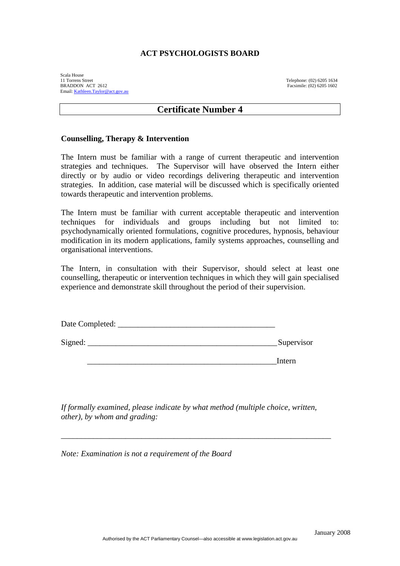Scala House<br>11 Torrens Street<br>BRADDON ACT 2612 11 Torrens Street Telephone: (02) 6205 1634 BRADDON ACT 2612 Facsimile: (02) 6205 1602 Email: [Kathleen.Taylor@act.gov.au](mailto:Kathleen.Taylor@act.gov.au)

# **Certificate Number 4**

#### **Counselling, Therapy & Intervention**

The Intern must be familiar with a range of current therapeutic and intervention strategies and techniques. The Supervisor will have observed the Intern either directly or by audio or video recordings delivering therapeutic and intervention strategies. In addition, case material will be discussed which is specifically oriented towards therapeutic and intervention problems.

The Intern must be familiar with current acceptable therapeutic and intervention techniques for individuals and groups including but not limited to: psychodynamically oriented formulations, cognitive procedures, hypnosis, behaviour modification in its modern applications, family systems approaches, counselling and organisational interventions.

The Intern, in consultation with their Supervisor, should select at least one counselling, therapeutic or intervention techniques in which they will gain specialised experience and demonstrate skill throughout the period of their supervision.

| Date Completed: |            |
|-----------------|------------|
| Signed:         | Supervisor |
|                 | Intern     |

*If formally examined, please indicate by what method (multiple choice, written, other), by whom and grading:* 

\_\_\_\_\_\_\_\_\_\_\_\_\_\_\_\_\_\_\_\_\_\_\_\_\_\_\_\_\_\_\_\_\_\_\_\_\_\_\_\_\_\_\_\_\_\_\_\_\_\_\_\_\_\_\_\_\_\_\_\_\_\_\_\_\_\_\_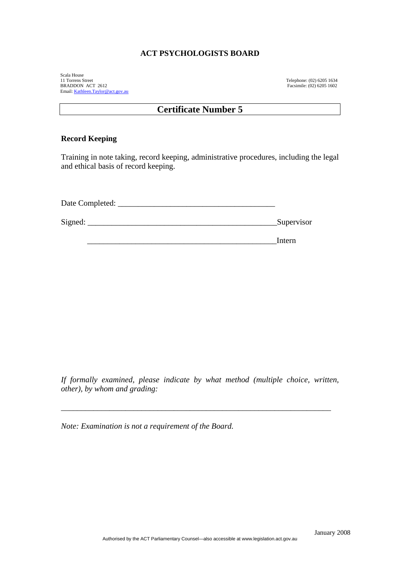Scala House 11 Torrens Street Telephone: (02) 6205 1634 BRADDON ACT 2612 Facsimile: (02) 6205 1602 Email: [Kathleen.Taylor@act.gov.au](mailto:Kathleen.Taylor@act.gov.au)

# **Certificate Number 5**

#### **Record Keeping**

Training in note taking, record keeping, administrative procedures, including the legal and ethical basis of record keeping.

| Date Completed: |            |
|-----------------|------------|
| Signed:         | Supervisor |

\_\_\_\_\_\_\_\_\_\_\_\_\_\_\_\_\_\_\_\_\_\_\_\_\_\_\_\_\_\_\_\_\_\_\_\_\_\_\_\_\_\_\_\_\_\_\_Intern

*If formally examined, please indicate by what method (multiple choice, written, other), by whom and grading:* 

\_\_\_\_\_\_\_\_\_\_\_\_\_\_\_\_\_\_\_\_\_\_\_\_\_\_\_\_\_\_\_\_\_\_\_\_\_\_\_\_\_\_\_\_\_\_\_\_\_\_\_\_\_\_\_\_\_\_\_\_\_\_\_\_\_\_\_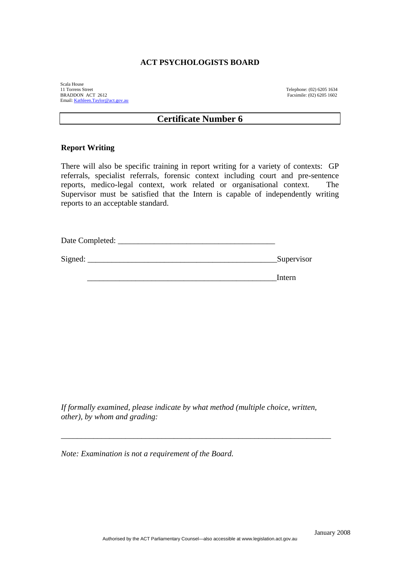Scala House 11 Torrens Street Telephone: (02) 6205 1634 Email: [Kathleen.Taylor@act.gov.au](mailto:Kathleen.Taylor@act.gov.au)

Facsimile: (02) 6205 1602

### **Certificate Number 6**

#### **Report Writing**

There will also be specific training in report writing for a variety of contexts: GP referrals, specialist referrals, forensic context including court and pre-sentence reports, medico-legal context, work related or organisational context. The Supervisor must be satisfied that the Intern is capable of independently writing reports to an acceptable standard.

| Date Completed: |            |
|-----------------|------------|
|                 |            |
| Signed:         | Supervisor |

\_\_\_\_\_\_\_\_\_\_\_\_\_\_\_\_\_\_\_\_\_\_\_\_\_\_\_\_\_\_\_\_\_\_\_\_\_\_\_\_\_\_\_\_\_\_\_Intern

*If formally examined, please indicate by what method (multiple choice, written, other), by whom and grading:* 

\_\_\_\_\_\_\_\_\_\_\_\_\_\_\_\_\_\_\_\_\_\_\_\_\_\_\_\_\_\_\_\_\_\_\_\_\_\_\_\_\_\_\_\_\_\_\_\_\_\_\_\_\_\_\_\_\_\_\_\_\_\_\_\_\_\_\_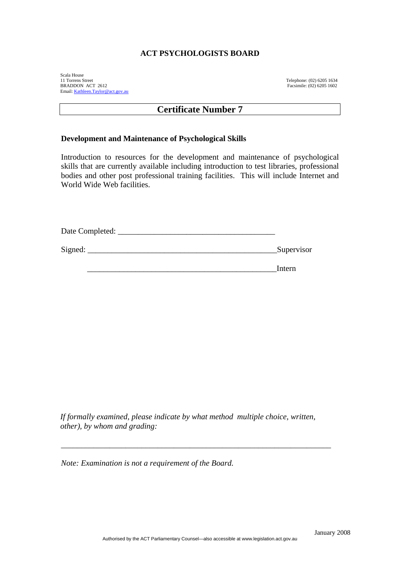Scala House 11 Torrens Street Telephone: (02) 6205 1634 BRADDON ACT 2612 Facsimile: (02) 6205 1602 Email: [Kathleen.Taylor@act.gov.au](mailto:Kathleen.Taylor@act.gov.au)

# **Certificate Number 7**

#### **Development and Maintenance of Psychological Skills**

Introduction to resources for the development and maintenance of psychological skills that are currently available including introduction to test libraries, professional bodies and other post professional training facilities. This will include Internet and World Wide Web facilities.

| Date Completed: |            |
|-----------------|------------|
| Signed:         | Supervisor |
|                 | Intern     |

*If formally examined, please indicate by what method multiple choice, written, other), by whom and grading:* 

\_\_\_\_\_\_\_\_\_\_\_\_\_\_\_\_\_\_\_\_\_\_\_\_\_\_\_\_\_\_\_\_\_\_\_\_\_\_\_\_\_\_\_\_\_\_\_\_\_\_\_\_\_\_\_\_\_\_\_\_\_\_\_\_\_\_\_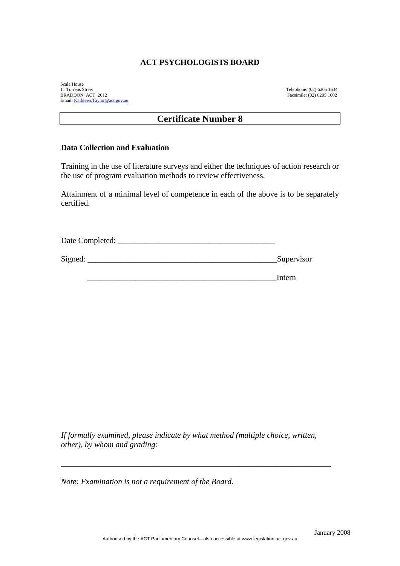Scala House<br>11 Torrens Street BRADDON ACT 2612 Email: [Kathleen.Taylor@act.gov.au](mailto:Kathleen.Taylor@act.gov.au)

Telephone: (02) 6205 1634<br>Facsimile: (02) 6205 1602

# **Certificate Number 8**

#### **Data Collection and Evaluation**

Training in the use of literature surveys and either the techniques of action research or the use of program evaluation methods to review effectiveness.

Attainment of a minimal level of competence in each of the above is to be separately certified.

Date Completed: Signed: Supervisor

\_\_\_\_\_\_\_\_\_\_\_\_\_\_\_\_\_\_\_\_\_\_\_\_\_\_\_\_\_\_\_\_\_\_\_\_\_\_\_\_\_\_\_\_\_\_\_Intern

*If formally examined, please indicate by what method (multiple choice, written, other), by whom and grading:* 

\_\_\_\_\_\_\_\_\_\_\_\_\_\_\_\_\_\_\_\_\_\_\_\_\_\_\_\_\_\_\_\_\_\_\_\_\_\_\_\_\_\_\_\_\_\_\_\_\_\_\_\_\_\_\_\_\_\_\_\_\_\_\_\_\_\_\_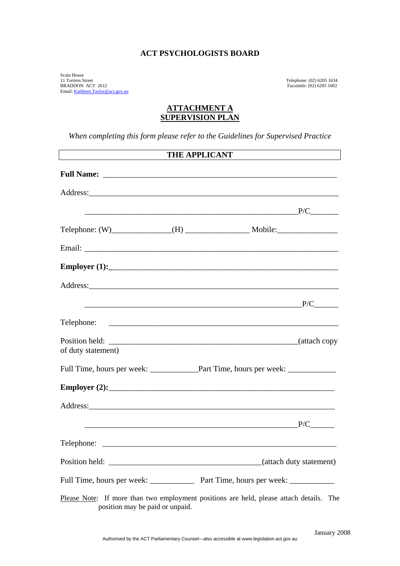Scala House 11 Torrens Street Telephone: (02) 6205 1634 BRADDON ACT 2612 Facsimile: (02) 6205 1602 Email: [Kathleen.Taylor@act.gov.au](mailto:Kathleen.Taylor@act.gov.au)

#### **ATTACHMENT A SUPERVISION PLAN**

*When completing this form please refer to the Guidelines for Supervised Practice* 

|                                 | THE APPLICANT                                                                           |
|---------------------------------|-----------------------------------------------------------------------------------------|
|                                 |                                                                                         |
|                                 |                                                                                         |
|                                 |                                                                                         |
|                                 |                                                                                         |
|                                 |                                                                                         |
|                                 |                                                                                         |
|                                 |                                                                                         |
|                                 | P/C                                                                                     |
|                                 |                                                                                         |
| of duty statement)              |                                                                                         |
|                                 |                                                                                         |
|                                 |                                                                                         |
|                                 |                                                                                         |
|                                 | P/C                                                                                     |
|                                 |                                                                                         |
|                                 | (attach duty statement)                                                                 |
|                                 | Full Time, hours per week: _______________ Part Time, hours per week: __________        |
| position may be paid or unpaid. | Please Note: If more than two employment positions are held, please attach details. The |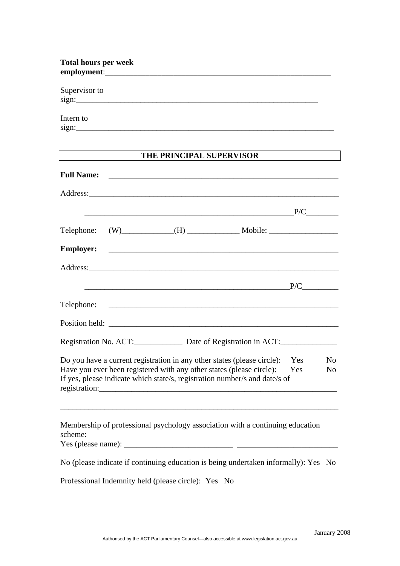| <b>Total hours per week</b>                                                                                                                                                                                                                             |
|---------------------------------------------------------------------------------------------------------------------------------------------------------------------------------------------------------------------------------------------------------|
| Supervisor to<br>sign:                                                                                                                                                                                                                                  |
| Intern to                                                                                                                                                                                                                                               |
| THE PRINCIPAL SUPERVISOR                                                                                                                                                                                                                                |
|                                                                                                                                                                                                                                                         |
|                                                                                                                                                                                                                                                         |
| $P/C$ $\qquad \qquad P/C$                                                                                                                                                                                                                               |
|                                                                                                                                                                                                                                                         |
|                                                                                                                                                                                                                                                         |
|                                                                                                                                                                                                                                                         |
| $P/C$ $P/C$                                                                                                                                                                                                                                             |
|                                                                                                                                                                                                                                                         |
|                                                                                                                                                                                                                                                         |
| Registration No. ACT: Date of Registration in ACT:                                                                                                                                                                                                      |
| Do you have a current registration in any other states (please circle):<br>Yes<br>No<br>Have you ever been registered with any other states (please circle):<br>Yes<br>No<br>If yes, please indicate which state/s, registration number/s and date/s of |
| Membership of professional psychology association with a continuing education<br>scheme:                                                                                                                                                                |
| No (please indicate if continuing education is being undertaken informally): Yes No                                                                                                                                                                     |
| Professional Indemnity held (please circle): Yes No                                                                                                                                                                                                     |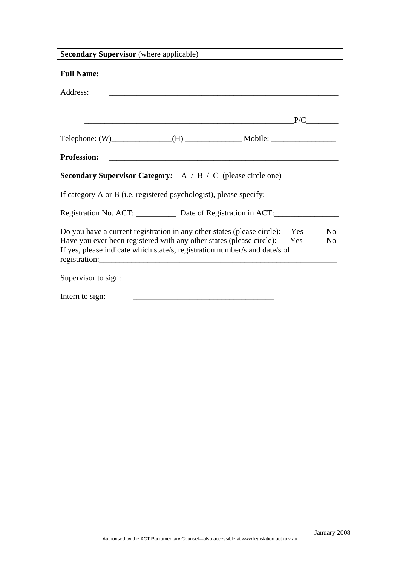| <b>Secondary Supervisor</b> (where applicable)                                                                                                                                                                                |            |                      |
|-------------------------------------------------------------------------------------------------------------------------------------------------------------------------------------------------------------------------------|------------|----------------------|
| <b>Full Name:</b><br><u> 1989 - Johann Stoff, Amerikaansk politiker († 1908)</u>                                                                                                                                              |            |                      |
| Address:<br><u> 1989 - Johann Stoff, amerikansk politiker (d. 1989)</u>                                                                                                                                                       |            |                      |
|                                                                                                                                                                                                                               |            |                      |
|                                                                                                                                                                                                                               |            |                      |
| <b>Profession:</b>                                                                                                                                                                                                            |            |                      |
| <b>Secondary Supervisor Category:</b> $A / B / C$ (please circle one)                                                                                                                                                         |            |                      |
| If category A or B (i.e. registered psychologist), please specify;                                                                                                                                                            |            |                      |
| Registration No. ACT: Date of Registration in ACT:                                                                                                                                                                            |            |                      |
| Do you have a current registration in any other states (please circle):<br>Have you ever been registered with any other states (please circle):<br>If yes, please indicate which state/s, registration number/s and date/s of | Yes<br>Yes | No<br>N <sub>0</sub> |
| Supervisor to sign:<br><u> 1980 - Johann Barn, mars ann an t-Amhain an t-Amhain an t-Amhain an t-Amhain an t-Amhain an t-Amhain an t-A</u>                                                                                    |            |                      |
| Intern to sign:                                                                                                                                                                                                               |            |                      |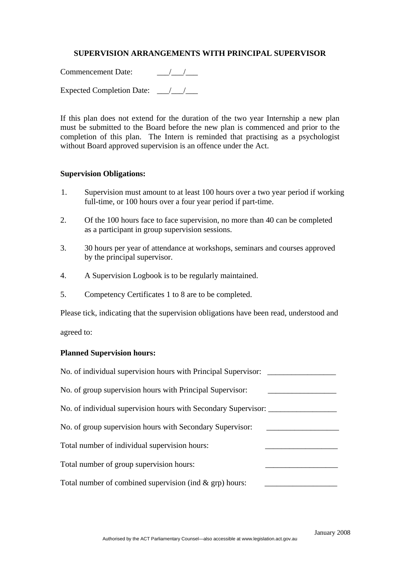### **SUPERVISION ARRANGEMENTS WITH PRINCIPAL SUPERVISOR**

Commencement Date: \_\_\_/\_\_\_/\_\_\_

Expected Completion Date:  $\frac{1}{2}$ 

If this plan does not extend for the duration of the two year Internship a new plan must be submitted to the Board before the new plan is commenced and prior to the completion of this plan. The Intern is reminded that practising as a psychologist without Board approved supervision is an offence under the Act.

#### **Supervision Obligations:**

- 1. Supervision must amount to at least 100 hours over a two year period if working full-time, or 100 hours over a four year period if part-time.
- 2. Of the 100 hours face to face supervision, no more than 40 can be completed as a participant in group supervision sessions.
- 3. 30 hours per year of attendance at workshops, seminars and courses approved by the principal supervisor.
- 4. A Supervision Logbook is to be regularly maintained.
- 5. Competency Certificates 1 to 8 are to be completed.

Please tick, indicating that the supervision obligations have been read, understood and

agreed to:

#### **Planned Supervision hours:**

| No. of individual supervision hours with Principal Supervisor: |  |
|----------------------------------------------------------------|--|
| No. of group supervision hours with Principal Supervisor:      |  |
| No. of individual supervision hours with Secondary Supervisor: |  |
| No. of group supervision hours with Secondary Supervisor:      |  |
| Total number of individual supervision hours:                  |  |
| Total number of group supervision hours:                       |  |
| Total number of combined supervision (ind & grp) hours:        |  |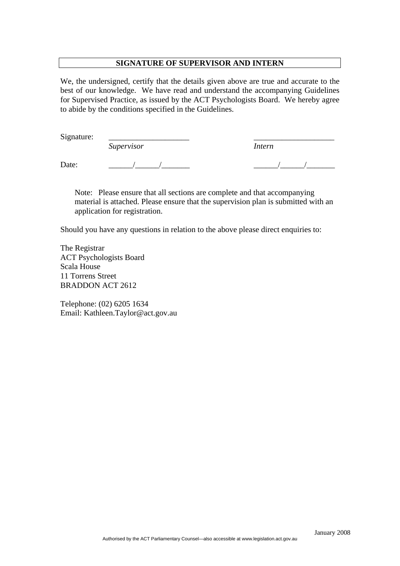#### **SIGNATURE OF SUPERVISOR AND INTERN**

We, the undersigned, certify that the details given above are true and accurate to the best of our knowledge. We have read and understand the accompanying Guidelines for Supervised Practice, as issued by the ACT Psychologists Board. We hereby agree to abide by the conditions specified in the Guidelines.

Signature:

*Supervisor Intern* 

Date: \_\_\_\_\_\_/\_\_\_\_\_\_/\_\_\_\_\_\_\_ \_\_\_\_\_\_/\_\_\_\_\_\_/\_\_\_\_\_\_\_

Note: Please ensure that all sections are complete and that accompanying material is attached. Please ensure that the supervision plan is submitted with an application for registration.

Should you have any questions in relation to the above please direct enquiries to:

The Registrar ACT Psychologists Board Scala House 11 Torrens Street BRADDON ACT 2612

Telephone: (02) 6205 1634 Email: Kathleen.Taylor@act.gov.au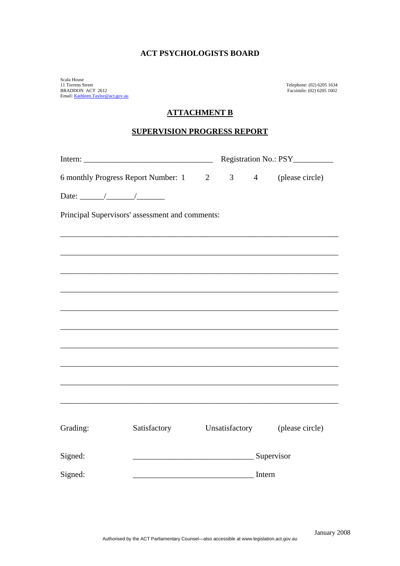Scala House 11 Torrens Street Telephone: (02) 6205 1634 BRADDON ACT 2612 Facsimile: (02) 6205 1602 Email: [Kathleen.Taylor@act.gov.au](mailto:Kathleen.Taylor@act.gov.au)

#### **ATTACHMENT B**

### **SUPERVISION PROGRESS REPORT**

| $\sim$                                                                                                                                                                                                                                                                                                                                                                                                                   |                                                                                               |  |                | Registration No.: PSY__________ |                 |  |  |
|--------------------------------------------------------------------------------------------------------------------------------------------------------------------------------------------------------------------------------------------------------------------------------------------------------------------------------------------------------------------------------------------------------------------------|-----------------------------------------------------------------------------------------------|--|----------------|---------------------------------|-----------------|--|--|
| 6 monthly Progress Report Number: 1 2                                                                                                                                                                                                                                                                                                                                                                                    |                                                                                               |  |                | $3 \t 4$                        | (please circle) |  |  |
| Date: $\frac{1}{\sqrt{1-\frac{1}{2}}}\frac{1}{\sqrt{1-\frac{1}{2}}}\frac{1}{\sqrt{1-\frac{1}{2}}}\frac{1}{\sqrt{1-\frac{1}{2}}}\frac{1}{\sqrt{1-\frac{1}{2}}}\frac{1}{\sqrt{1-\frac{1}{2}}}\frac{1}{\sqrt{1-\frac{1}{2}}}\frac{1}{\sqrt{1-\frac{1}{2}}}\frac{1}{\sqrt{1-\frac{1}{2}}}\frac{1}{\sqrt{1-\frac{1}{2}}}\frac{1}{\sqrt{1-\frac{1}{2}}}\frac{1}{\sqrt{1-\frac{1}{2}}}\frac{1}{\sqrt{1-\frac{1}{2}}}\frac{1}{\$ |                                                                                               |  |                |                                 |                 |  |  |
| Principal Supervisors' assessment and comments:                                                                                                                                                                                                                                                                                                                                                                          |                                                                                               |  |                |                                 |                 |  |  |
|                                                                                                                                                                                                                                                                                                                                                                                                                          |                                                                                               |  |                |                                 |                 |  |  |
|                                                                                                                                                                                                                                                                                                                                                                                                                          |                                                                                               |  |                |                                 |                 |  |  |
|                                                                                                                                                                                                                                                                                                                                                                                                                          |                                                                                               |  |                |                                 |                 |  |  |
|                                                                                                                                                                                                                                                                                                                                                                                                                          |                                                                                               |  |                |                                 |                 |  |  |
|                                                                                                                                                                                                                                                                                                                                                                                                                          |                                                                                               |  |                |                                 |                 |  |  |
|                                                                                                                                                                                                                                                                                                                                                                                                                          |                                                                                               |  |                |                                 |                 |  |  |
|                                                                                                                                                                                                                                                                                                                                                                                                                          |                                                                                               |  |                |                                 |                 |  |  |
|                                                                                                                                                                                                                                                                                                                                                                                                                          |                                                                                               |  |                |                                 |                 |  |  |
|                                                                                                                                                                                                                                                                                                                                                                                                                          |                                                                                               |  |                |                                 |                 |  |  |
|                                                                                                                                                                                                                                                                                                                                                                                                                          |                                                                                               |  |                |                                 |                 |  |  |
| Grading:                                                                                                                                                                                                                                                                                                                                                                                                                 | Satisfactory                                                                                  |  | Unsatisfactory |                                 | (please circle) |  |  |
| Signed:                                                                                                                                                                                                                                                                                                                                                                                                                  | Supervisor                                                                                    |  |                |                                 |                 |  |  |
|                                                                                                                                                                                                                                                                                                                                                                                                                          |                                                                                               |  |                |                                 |                 |  |  |
| Signed:                                                                                                                                                                                                                                                                                                                                                                                                                  | <u>Internet and Internet and Internet and Internet and Internet and Internet and Internet</u> |  |                |                                 |                 |  |  |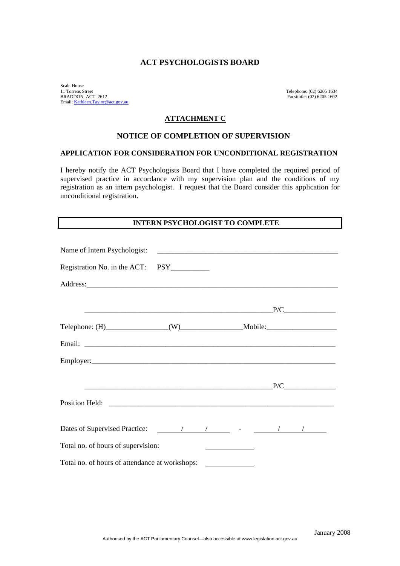Scala House<br>11 Torrens Street 11 Torrens Street Telephone: (02) 6205 1634<br>BRADDON ACT 2612 Facsimile: (02) 6205 1602 Email: [Kathleen.Taylor@act.gov.au](mailto:Kathleen.Taylor@act.gov.au)

Facsimile: (02) 6205 1602

#### **ATTACHMENT C**

#### **NOTICE OF COMPLETION OF SUPERVISION**

#### **APPLICATION FOR CONSIDERATION FOR UNCONDITIONAL REGISTRATION**

I hereby notify the ACT Psychologists Board that I have completed the required period of supervised practice in accordance with my supervision plan and the conditions of my registration as an intern psychologist. I request that the Board consider this application for unconditional registration.

#### **INTERN PSYCHOLOGIST TO COMPLETE**

| Name of Intern Psychologist:                                                      |  |  |
|-----------------------------------------------------------------------------------|--|--|
|                                                                                   |  |  |
|                                                                                   |  |  |
|                                                                                   |  |  |
| $Telephone: (H)$ $(W)$ $Mobile:$                                                  |  |  |
|                                                                                   |  |  |
|                                                                                   |  |  |
|                                                                                   |  |  |
|                                                                                   |  |  |
|                                                                                   |  |  |
| Total no. of hours of supervision:                                                |  |  |
| Total no. of hours of attendance at workshops: __________________________________ |  |  |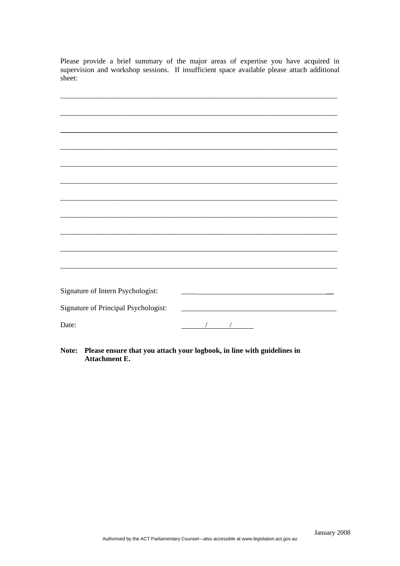Please provide a brief summary of the major areas of expertise you have acquired in supervision and workshop sessions. If insufficient space available please attach additional sheet:

| Signature of Intern Psychologist:    |                                                     |
|--------------------------------------|-----------------------------------------------------|
| Signature of Principal Psychologist: | <u> 1980 - Johann Barbara, martxa alemaniar arg</u> |
| Date:                                | $\frac{1}{2}$ $\frac{1}{2}$                         |

Note: Please ensure that you attach your logbook, in line with guidelines in **Attachment E.**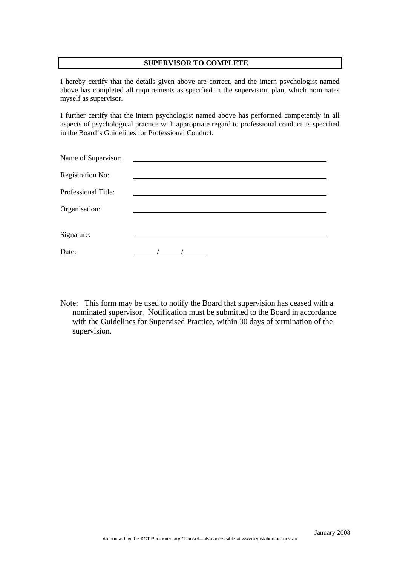#### **SUPERVISOR TO COMPLETE**

I hereby certify that the details given above are correct, and the intern psychologist named above has completed all requirements as specified in the supervision plan, which nominates myself as supervisor.

I further certify that the intern psychologist named above has performed competently in all aspects of psychological practice with appropriate regard to professional conduct as specified in the Board's Guidelines for Professional Conduct.

| Name of Supervisor:     |  |  |  |
|-------------------------|--|--|--|
| <b>Registration No:</b> |  |  |  |
| Professional Title:     |  |  |  |
| Organisation:           |  |  |  |
| Signature:              |  |  |  |
| Date:                   |  |  |  |

Note: This form may be used to notify the Board that supervision has ceased with a nominated supervisor. Notification must be submitted to the Board in accordance with the Guidelines for Supervised Practice, within 30 days of termination of the supervision.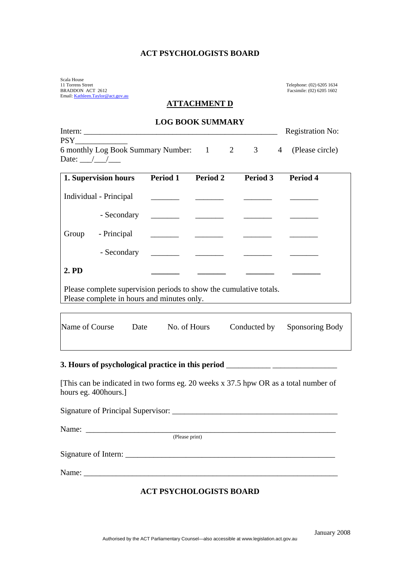Scala House<br>11 Torrens Street BRADDON ACT 2612 Facsimile: (02) 6205 1602 Email: [Kathleen.Taylor@act.gov.au](mailto:Kathleen.Taylor@act.gov.au)

 $\overline{\phantom{a}}$ 

Telephone: (02) 6205 1634<br>Facsimile: (02) 6205 1602

#### **ATTACHMENT D**

### **LOG BOOK SUMMARY**

|       |                                                                                                                  |                 |                 |                | <b>Registration No:</b> |
|-------|------------------------------------------------------------------------------------------------------------------|-----------------|-----------------|----------------|-------------------------|
|       |                                                                                                                  |                 |                 |                |                         |
|       | 6 monthly Log Book Summary Number: 1 2 3                                                                         |                 |                 | $\overline{4}$ | (Please circle)         |
|       | Date: $\frac{1}{\sqrt{1-\frac{1}{2}}}$                                                                           |                 |                 |                |                         |
|       | 1. Supervision hours                                                                                             | <b>Period 1</b> | <b>Period 2</b> | Period 3       | <b>Period 4</b>         |
|       | Individual - Principal                                                                                           |                 |                 |                |                         |
|       | - Secondary                                                                                                      |                 |                 |                |                         |
| Group | - Principal                                                                                                      |                 |                 |                |                         |
|       |                                                                                                                  |                 |                 |                |                         |
| 2. PD |                                                                                                                  |                 |                 |                |                         |
|       | Please complete supervision periods to show the cumulative totals.<br>Please complete in hours and minutes only. |                 |                 |                |                         |
|       |                                                                                                                  |                 |                 |                |                         |

| Name of Course | Date | No. of Hours | Conducted by Sponsoring Body |
|----------------|------|--------------|------------------------------|
|                |      |              |                              |

#### **3. Hours of psychological practice in this period** \_\_\_\_\_\_\_\_\_\_\_ \_\_\_\_\_\_\_\_\_\_\_\_\_\_\_\_

[This can be indicated in two forms eg. 20 weeks x 37.5 hpw OR as a total number of hours eg. 400hours.]

| Name: $\frac{1}{\sqrt{1-\frac{1}{2}}}\left\{1-\frac{1}{2}\right\}$ |                |
|--------------------------------------------------------------------|----------------|
|                                                                    | (Please print) |
|                                                                    |                |
|                                                                    |                |

### **ACT PSYCHOLOGISTS BOARD**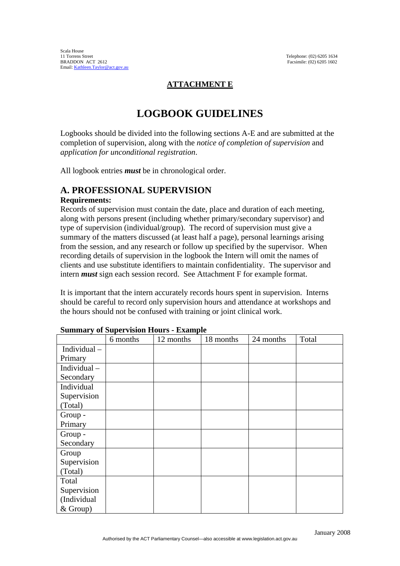## **ATTACHMENT E**

# **LOGBOOK GUIDELINES**

Logbooks should be divided into the following sections A-E and are submitted at the completion of supervision, along with the *notice of completion of supervision* and *application for unconditional registration*.

All logbook entries *must* be in chronological order.

## **A. PROFESSIONAL SUPERVISION**

### **Requirements:**

Records of supervision must contain the date, place and duration of each meeting, along with persons present (including whether primary/secondary supervisor) and type of supervision (individual/group). The record of supervision must give a summary of the matters discussed (at least half a page), personal learnings arising from the session, and any research or follow up specified by the supervisor. When recording details of supervision in the logbook the Intern will omit the names of clients and use substitute identifiers to maintain confidentiality. The supervisor and intern *must* sign each session record. See Attachment F for example format.

It is important that the intern accurately records hours spent in supervision. Interns should be careful to record only supervision hours and attendance at workshops and the hours should not be confused with training or joint clinical work.

| Summary of Supervision Hours - Example |          |           |           |           |       |
|----------------------------------------|----------|-----------|-----------|-----------|-------|
|                                        | 6 months | 12 months | 18 months | 24 months | Total |
| Individual $-$                         |          |           |           |           |       |
| Primary                                |          |           |           |           |       |
| Individual-                            |          |           |           |           |       |
| Secondary                              |          |           |           |           |       |
| Individual                             |          |           |           |           |       |
| Supervision                            |          |           |           |           |       |
| (Total)                                |          |           |           |           |       |
| Group -                                |          |           |           |           |       |
| Primary                                |          |           |           |           |       |
| Group -                                |          |           |           |           |       |
| Secondary                              |          |           |           |           |       |
| Group                                  |          |           |           |           |       |
| Supervision                            |          |           |           |           |       |
| (Total)                                |          |           |           |           |       |
| Total                                  |          |           |           |           |       |
| Supervision                            |          |           |           |           |       |
| (Individual                            |          |           |           |           |       |
| $&$ Group)                             |          |           |           |           |       |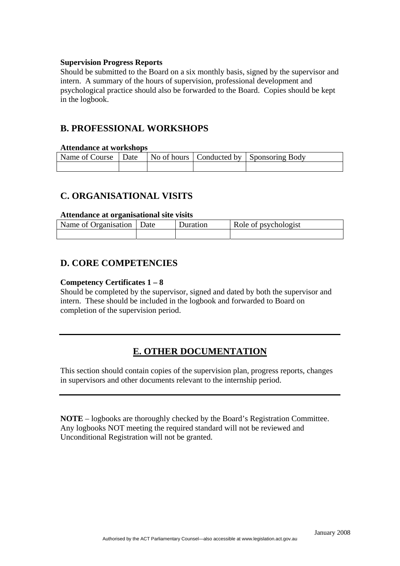#### **Supervision Progress Reports**

Should be submitted to the Board on a six monthly basis, signed by the supervisor and intern. A summary of the hours of supervision, professional development and psychological practice should also be forwarded to the Board. Copies should be kept in the logbook.

## **B. PROFESSIONAL WORKSHOPS**

#### **Attendance at workshops**

| Name of Course $\vert$ Date $\vert$ No of hours $\vert$ Conducted by $\vert$ Sponsoring Body |  |  |
|----------------------------------------------------------------------------------------------|--|--|
|                                                                                              |  |  |

## **C. ORGANISATIONAL VISITS**

#### **Attendance at organisational site visits**

| Name of Organisation   Date | Duration | Role of psychologist |
|-----------------------------|----------|----------------------|
|                             |          |                      |

## **D. CORE COMPETENCIES**

### **Competency Certificates 1 – 8**

Should be completed by the supervisor, signed and dated by both the supervisor and intern. These should be included in the logbook and forwarded to Board on completion of the supervision period.

## **E. OTHER DOCUMENTATION**

This section should contain copies of the supervision plan, progress reports, changes in supervisors and other documents relevant to the internship period.

**NOTE** – logbooks are thoroughly checked by the Board's Registration Committee. Any logbooks NOT meeting the required standard will not be reviewed and Unconditional Registration will not be granted.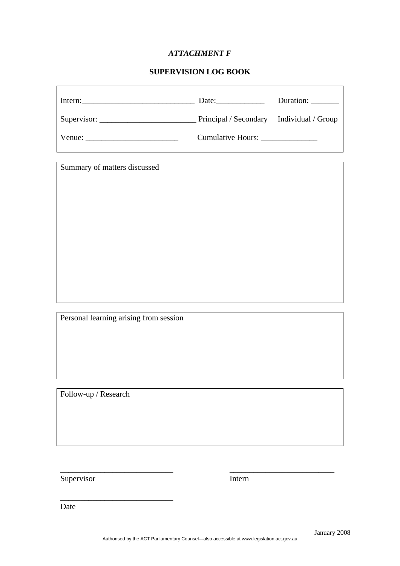### *ATTACHMENT F*

### **SUPERVISION LOG BOOK**

| Intern: | Date:                                    | Duration: ________ |
|---------|------------------------------------------|--------------------|
|         | Principal / Secondary Individual / Group |                    |
|         | Cumulative Hours: _______________        |                    |

Summary of matters discussed

Personal learning arising from session

\_\_\_\_\_\_\_\_\_\_\_\_\_\_\_\_\_\_\_\_\_\_\_\_\_\_\_\_

Follow-up / Research

Supervisor Intern

Date

\_\_\_\_\_\_\_\_\_\_\_\_\_\_\_\_\_\_\_\_\_\_\_\_\_\_\_\_ \_\_\_\_\_\_\_\_\_\_\_\_\_\_\_\_\_\_\_\_\_\_\_\_\_\_

٦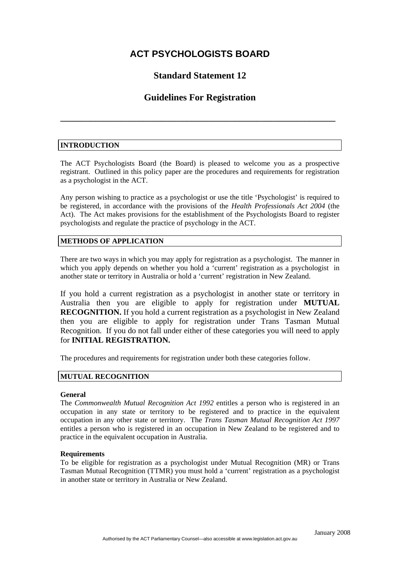## **Standard Statement 12**

## **Guidelines For Registration**

**\_\_\_\_\_\_\_\_\_\_\_\_\_\_\_\_\_\_\_\_\_\_\_\_\_\_\_\_\_\_\_\_\_\_\_\_\_\_\_\_\_\_\_\_\_\_\_\_\_\_\_\_\_\_\_\_\_\_\_\_\_\_\_**

### **INTRODUCTION**

The ACT Psychologists Board (the Board) is pleased to welcome you as a prospective registrant. Outlined in this policy paper are the procedures and requirements for registration as a psychologist in the ACT.

Any person wishing to practice as a psychologist or use the title 'Psychologist' is required to be registered, in accordance with the provisions of the *Health Professionals Act 2004* (the Act). The Act makes provisions for the establishment of the Psychologists Board to register psychologists and regulate the practice of psychology in the ACT.

#### **METHODS OF APPLICATION**

There are two ways in which you may apply for registration as a psychologist. The manner in which you apply depends on whether you hold a 'current' registration as a psychologist in another state or territory in Australia or hold a 'current' registration in New Zealand.

If you hold a current registration as a psychologist in another state or territory in Australia then you are eligible to apply for registration under **MUTUAL RECOGNITION.** If you hold a current registration as a psychologist in New Zealand then you are eligible to apply for registration under Trans Tasman Mutual Recognition.If you do not fall under either of these categories you will need to apply for **INITIAL REGISTRATION.** 

The procedures and requirements for registration under both these categories follow.

#### **MUTUAL RECOGNITION**

#### **General**

The *Commonwealth Mutual Recognition Act 1992* entitles a person who is registered in an occupation in any state or territory to be registered and to practice in the equivalent occupation in any other state or territory. The *Trans Tasman Mutual Recognition Act 1997*  entitles a person who is registered in an occupation in New Zealand to be registered and to practice in the equivalent occupation in Australia.

#### **Requirements**

To be eligible for registration as a psychologist under Mutual Recognition (MR) or Trans Tasman Mutual Recognition (TTMR) you must hold a 'current' registration as a psychologist in another state or territory in Australia or New Zealand.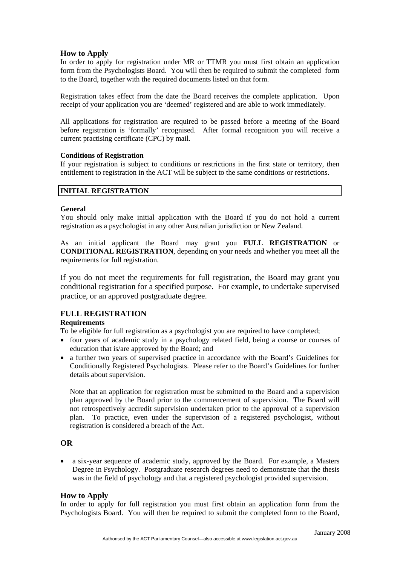### **How to Apply**

In order to apply for registration under MR or TTMR you must first obtain an application form from the Psychologists Board. You will then be required to submit the completed form to the Board, together with the required documents listed on that form.

Registration takes effect from the date the Board receives the complete application. Upon receipt of your application you are 'deemed' registered and are able to work immediately.

All applications for registration are required to be passed before a meeting of the Board before registration is 'formally' recognised. After formal recognition you will receive a current practising certificate (CPC) by mail.

#### **Conditions of Registration**

If your registration is subject to conditions or restrictions in the first state or territory, then entitlement to registration in the ACT will be subject to the same conditions or restrictions.

#### **INITIAL REGISTRATION**

#### **General**

You should only make initial application with the Board if you do not hold a current registration as a psychologist in any other Australian jurisdiction or New Zealand.

As an initial applicant the Board may grant you **FULL REGISTRATION** or **CONDITIONAL REGISTRATION**, depending on your needs and whether you meet all the requirements for full registration.

If you do not meet the requirements for full registration, the Board may grant you conditional registration for a specified purpose. For example, to undertake supervised practice, or an approved postgraduate degree.

### **FULL REGISTRATION**

#### **Requirements**

To be eligible for full registration as a psychologist you are required to have completed;

- four years of academic study in a psychology related field, being a course or courses of education that is/are approved by the Board; and
- a further two years of supervised practice in accordance with the Board's Guidelines for Conditionally Registered Psychologists. Please refer to the Board's Guidelines for further details about supervision.

Note that an application for registration must be submitted to the Board and a supervision plan approved by the Board prior to the commencement of supervision. The Board will not retrospectively accredit supervision undertaken prior to the approval of a supervision plan. To practice, even under the supervision of a registered psychologist, without registration is considered a breach of the Act.

#### **OR**

• a six-year sequence of academic study, approved by the Board. For example, a Masters Degree in Psychology. Postgraduate research degrees need to demonstrate that the thesis was in the field of psychology and that a registered psychologist provided supervision.

#### **How to Apply**

In order to apply for full registration you must first obtain an application form from the Psychologists Board. You will then be required to submit the completed form to the Board,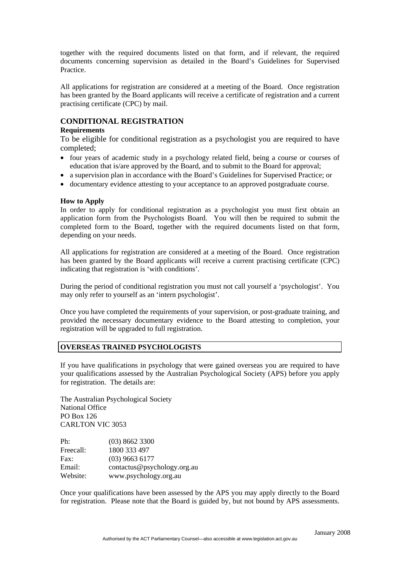together with the required documents listed on that form, and if relevant, the required documents concerning supervision as detailed in the Board's Guidelines for Supervised Practice.

All applications for registration are considered at a meeting of the Board. Once registration has been granted by the Board applicants will receive a certificate of registration and a current practising certificate (CPC) by mail.

#### **CONDITIONAL REGISTRATION**

#### **Requirements**

To be eligible for conditional registration as a psychologist you are required to have completed;

- four years of academic study in a psychology related field, being a course or courses of education that is/are approved by the Board, and to submit to the Board for approval;
- a supervision plan in accordance with the Board's Guidelines for Supervised Practice; or
- documentary evidence attesting to your acceptance to an approved postgraduate course.

#### **How to Apply**

In order to apply for conditional registration as a psychologist you must first obtain an application form from the Psychologists Board. You will then be required to submit the completed form to the Board, together with the required documents listed on that form, depending on your needs.

All applications for registration are considered at a meeting of the Board. Once registration has been granted by the Board applicants will receive a current practising certificate (CPC) indicating that registration is 'with conditions'.

During the period of conditional registration you must not call yourself a 'psychologist'. You may only refer to yourself as an 'intern psychologist'.

Once you have completed the requirements of your supervision, or post-graduate training, and provided the necessary documentary evidence to the Board attesting to completion, your registration will be upgraded to full registration.

#### **OVERSEAS TRAINED PSYCHOLOGISTS**

If you have qualifications in psychology that were gained overseas you are required to have your qualifications assessed by the Australian Psychological Society (APS) before you apply for registration. The details are:

The Australian Psychological Society National Office PO Box 126 CARLTON VIC 3053

| Ph:       | (03) 8662 3300              |
|-----------|-----------------------------|
| Freecall: | 1800 333 497                |
| Fax:      | $(03)$ 9663 6177            |
| Email:    | contactus@psychology.org.au |
| Website:  | www.psychology.org.au       |

Once your qualifications have been assessed by the APS you may apply directly to the Board for registration. Please note that the Board is guided by, but not bound by APS assessments.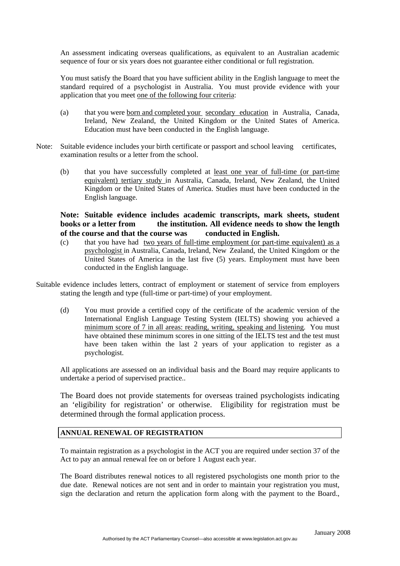An assessment indicating overseas qualifications, as equivalent to an Australian academic sequence of four or six years does not guarantee either conditional or full registration.

You must satisfy the Board that you have sufficient ability in the English language to meet the standard required of a psychologist in Australia. You must provide evidence with your application that you meet one of the following four criteria:

- (a) that you were born and completed your secondary education in Australia, Canada, Ireland, New Zealand, the United Kingdom or the United States of America. Education must have been conducted in the English language.
- Note: Suitable evidence includes your birth certificate or passport and school leaving certificates, examination results or a letter from the school.
	- (b) that you have successfully completed at least one year of full-time (or part-time equivalent) tertiary study in Australia, Canada, Ireland, New Zealand, the United Kingdom or the United States of America. Studies must have been conducted in the English language.

### **Note: Suitable evidence includes academic transcripts, mark sheets, student books or a letter from the institution. All evidence needs to show the length of the course and that the course was conducted in English.**

- (c) that you have had two years of full-time employment (or part-time equivalent) as a psychologist in Australia, Canada, Ireland, New Zealand, the United Kingdom or the United States of America in the last five (5) years. Employment must have been conducted in the English language.
- Suitable evidence includes letters, contract of employment or statement of service from employers stating the length and type (full-time or part-time) of your employment.
	- (d) You must provide a certified copy of the certificate of the academic version of the International English Language Testing System (IELTS) showing you achieved a minimum score of 7 in all areas: reading, writing, speaking and listening. You must have obtained these minimum scores in one sitting of the IELTS test and the test must have been taken within the last 2 years of your application to register as a psychologist.

All applications are assessed on an individual basis and the Board may require applicants to undertake a period of supervised practice..

The Board does not provide statements for overseas trained psychologists indicating an 'eligibility for registration' or otherwise. Eligibility for registration must be determined through the formal application process.

### **ANNUAL RENEWAL OF REGISTRATION**

To maintain registration as a psychologist in the ACT you are required under section 37 of the Act to pay an annual renewal fee on or before 1 August each year.

The Board distributes renewal notices to all registered psychologists one month prior to the due date. Renewal notices are not sent and in order to maintain your registration you must, sign the declaration and return the application form along with the payment to the Board.,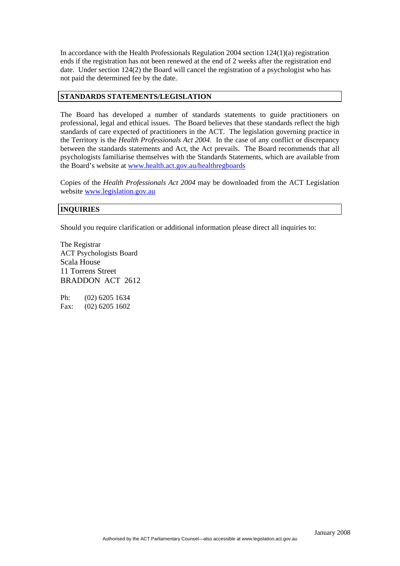In accordance with the Health Professionals Regulation  $2004$  section  $124(1)(a)$  registration ends if the registration has not been renewed at the end of 2 weeks after the registration end date. Under section 124(2) the Board will cancel the registration of a psychologist who has not paid the determined fee by the date.

#### **STANDARDS STATEMENTS/LEGISLATION**

The Board has developed a number of standards statements to guide practitioners on professional, legal and ethical issues. The Board believes that these standards reflect the high standards of care expected of practitioners in the ACT. The legislation governing practice in the Territory is the *Health Professionals Act 2004.* In the case of any conflict or discrepancy between the standards statements and Act, the Act prevails. The Board recommends that all psychologists familiarise themselves with the Standards Statements, which are available from the Board's website at [www.health.act.gov.au/healthregboards](http://www.health.act.gov.au/healthregboards)

Copies of the *Health Professionals Act 2004* may be downloaded from the ACT Legislation website [www.legislation.gov.au](http://www.legislation.gov.au/)

#### **INQUIRIES**

Should you require clarification or additional information please direct all inquiries to:

The Registrar ACT Psychologists Board Scala House 11 Torrens Street BRADDON ACT 2612

Ph: (02) 6205 1634 Fax: (02) 6205 1602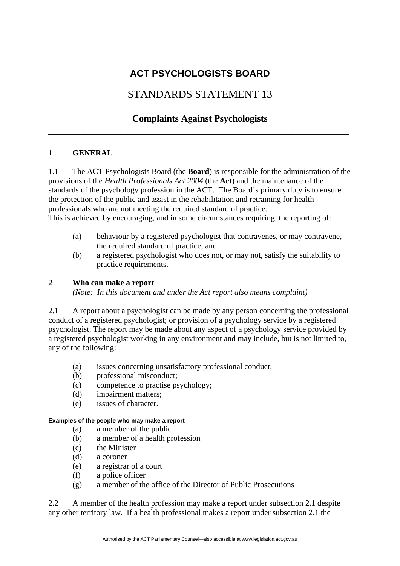# STANDARDS STATEMENT 13

# **Complaints Against Psychologists \_\_\_\_\_\_\_\_\_\_\_\_\_\_\_\_\_\_\_\_\_\_\_\_\_\_\_\_\_\_\_\_\_\_\_\_\_\_\_\_\_\_\_\_\_\_\_\_\_\_\_\_\_\_\_\_**

### **1 GENERAL**

1.1 The ACT Psychologists Board (the **Board**) is responsible for the administration of the provisions of the *Health Professionals Act 2004* (the **Act**) and the maintenance of the standards of the psychology profession in the ACT. The Board's primary duty is to ensure the protection of the public and assist in the rehabilitation and retraining for health professionals who are not meeting the required standard of practice. This is achieved by encouraging, and in some circumstances requiring, the reporting of:

- (a) behaviour by a registered psychologist that contravenes, or may contravene, the required standard of practice; and
- (b) a registered psychologist who does not, or may not, satisfy the suitability to practice requirements.

### **2 Who can make a report**

 *(Note: In this document and under the Act report also means complaint)* 

2.1 A report about a psychologist can be made by any person concerning the professional conduct of a registered psychologist; or provision of a psychology service by a registered psychologist. The report may be made about any aspect of a psychology service provided by a registered psychologist working in any environment and may include, but is not limited to, any of the following:

- (a) issues concerning unsatisfactory professional conduct;
- (b) professional misconduct;
- (c) competence to practise psychology;
- (d) impairment matters;
- (e) issues of character.

### **Examples of the people who may make a report**

- (a) a member of the public
- (b) a member of a health profession
- (c) the Minister
- (d) a coroner
- (e) a registrar of a court
- (f) a police officer
- (g) a member of the office of the Director of Public Prosecutions

2.2 A member of the health profession may make a report under subsection 2.1 despite any other territory law. If a health professional makes a report under subsection 2.1 the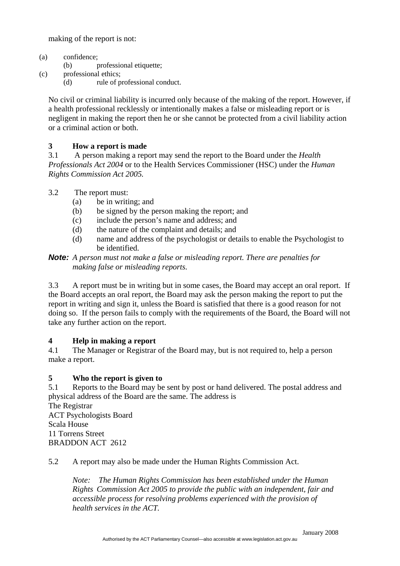making of the report is not:

- (a) confidence;
	- (b) professional etiquette;
- (c) professional ethics;
	- (d) rule of professional conduct.

No civil or criminal liability is incurred only because of the making of the report. However, if a health professional recklessly or intentionally makes a false or misleading report or is negligent in making the report then he or she cannot be protected from a civil liability action or a criminal action or both.

### **3 How a report is made**

3.1 A person making a report may send the report to the Board under the *Health Professionals Act 2004* or to the Health Services Commissioner (HSC) under the *Human Rights Commission Act 2005.*

- 3.2 The report must:
	- (a) be in writing; and
	- (b) be signed by the person making the report; and
	- (c) include the person's name and address; and
	- (d) the nature of the complaint and details; and
	- (d) name and address of the psychologist or details to enable the Psychologist to be identified.

### *Note: A person must not make a false or misleading report. There are penalties for making false or misleading reports.*

3.3 A report must be in writing but in some cases, the Board may accept an oral report. If the Board accepts an oral report, the Board may ask the person making the report to put the report in writing and sign it, unless the Board is satisfied that there is a good reason for not doing so. If the person fails to comply with the requirements of the Board, the Board will not take any further action on the report.

### **4 Help in making a report**

4.1 The Manager or Registrar of the Board may, but is not required to, help a person make a report.

### **5 Who the report is given to**

5.1 Reports to the Board may be sent by post or hand delivered. The postal address and physical address of the Board are the same. The address is

The Registrar ACT Psychologists Board Scala House 11 Torrens Street BRADDON ACT 2612

5.2 A report may also be made under the Human Rights Commission Act.

*Note: The Human Rights Commission has been established under the Human Rights Commission Act 2005 to provide the public with an independent, fair and accessible process for resolving problems experienced with the provision of health services in the ACT.*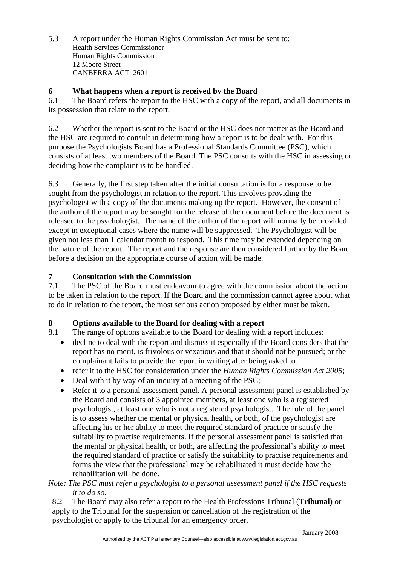5.3 A report under the Human Rights Commission Act must be sent to: Health Services Commissioner Human Rights Commission 12 Moore Street CANBERRA ACT 2601

### **6 What happens when a report is received by the Board**

6.1 The Board refers the report to the HSC with a copy of the report, and all documents in its possession that relate to the report.

6.2 Whether the report is sent to the Board or the HSC does not matter as the Board and the HSC are required to consult in determining how a report is to be dealt with. For this purpose the Psychologists Board has a Professional Standards Committee (PSC), which consists of at least two members of the Board. The PSC consults with the HSC in assessing or deciding how the complaint is to be handled.

6.3 Generally, the first step taken after the initial consultation is for a response to be sought from the psychologist in relation to the report. This involves providing the psychologist with a copy of the documents making up the report. However, the consent of the author of the report may be sought for the release of the document before the document is released to the psychologist. The name of the author of the report will normally be provided except in exceptional cases where the name will be suppressed. The Psychologist will be given not less than 1 calendar month to respond. This time may be extended depending on the nature of the report. The report and the response are then considered further by the Board before a decision on the appropriate course of action will be made.

## **7 Consultation with the Commission**

7.1 The PSC of the Board must endeavour to agree with the commission about the action to be taken in relation to the report. If the Board and the commission cannot agree about what to do in relation to the report, the most serious action proposed by either must be taken.

## **8 Options available to the Board for dealing with a report**

8.1 The range of options available to the Board for dealing with a report includes:

- decline to deal with the report and dismiss it especially if the Board considers that the report has no merit, is frivolous or vexatious and that it should not be pursued; or the complainant fails to provide the report in writing after being asked to.
- refer it to the HSC for consideration under the *Human Rights Commission Act 2005*;
- Deal with it by way of an inquiry at a meeting of the PSC;
- Refer it to a personal assessment panel. A personal assessment panel is established by the Board and consists of 3 appointed members, at least one who is a registered psychologist, at least one who is not a registered psychologist. The role of the panel is to assess whether the mental or physical health, or both, of the psychologist are affecting his or her ability to meet the required standard of practice or satisfy the suitability to practise requirements. If the personal assessment panel is satisfied that the mental or physical health, or both, are affecting the professional's ability to meet the required standard of practice or satisfy the suitability to practise requirements and forms the view that the professional may be rehabilitated it must decide how the rehabilitation will be done.

### *Note: The PSC must refer a psychologist to a personal assessment panel if the HSC requests it to do so.*

8.2 The Board may also refer a report to the Health Professions Tribunal (**Tribunal)** or apply to the Tribunal for the suspension or cancellation of the registration of the psychologist or apply to the tribunal for an emergency order.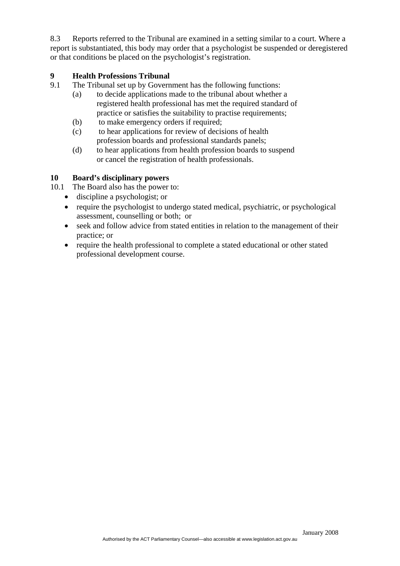8.3 Reports referred to the Tribunal are examined in a setting similar to a court. Where a report is substantiated, this body may order that a psychologist be suspended or deregistered or that conditions be placed on the psychologist's registration.

### **9 Health Professions Tribunal**

- 9.1 The Tribunal set up by Government has the following functions:
	- (a) to decide applications made to the tribunal about whether a registered health professional has met the required standard of practice or satisfies the suitability to practise requirements;
	- (b) to make emergency orders if required;
	- (c) to hear applications for review of decisions of health profession boards and professional standards panels;
	- (d) to hear applications from health profession boards to suspend or cancel the registration of health professionals.

### **10 Board's disciplinary powers**

- 10.1 The Board also has the power to:
	- discipline a psychologist; or
	- require the psychologist to undergo stated medical, psychiatric, or psychological assessment, counselling or both; or
	- seek and follow advice from stated entities in relation to the management of their practice; or
	- require the health professional to complete a stated educational or other stated professional development course.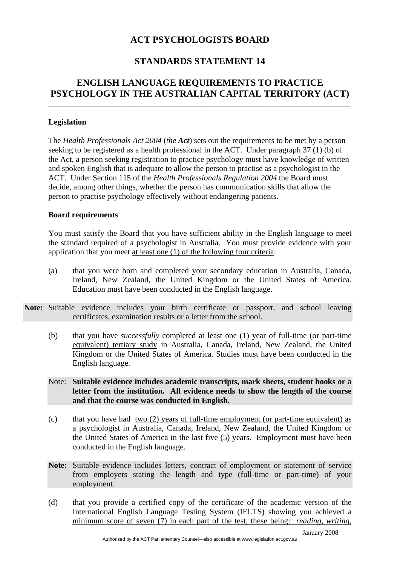## **STANDARDS STATEMENT 14**

## **ENGLISH LANGUAGE REQUIREMENTS TO PRACTICE PSYCHOLOGY IN THE AUSTRALIAN CAPITAL TERRITORY (ACT)**

\_\_\_\_\_\_\_\_\_\_\_\_\_\_\_\_\_\_\_\_\_\_\_\_\_\_\_\_\_\_\_\_\_\_\_\_\_\_\_\_\_\_\_\_\_\_\_\_\_\_\_\_\_\_\_\_\_\_\_\_\_\_\_\_\_\_\_\_\_\_\_\_\_\_\_

### **Legislation**

The *Health Professionals Act 2004* (*the Act*) sets out the requirements to be met by a person seeking to be registered as a health professional in the ACT. Under paragraph 37 (1) (b) of the Act, a person seeking registration to practice psychology must have knowledge of written and spoken English that is adequate to allow the person to practise as a psychologist in the ACT. Under Section 115 of the *Health Professionals Regulation 2004* the Board must decide, among other things, whether the person has communication skills that allow the person to practise psychology effectively without endangering patients.

### **Board requirements**

You must satisfy the Board that you have sufficient ability in the English language to meet the standard required of a psychologist in Australia. You must provide evidence with your application that you meet at least one (1) of the following four criteria:

- (a) that you were born and completed your secondary education in Australia, Canada, Ireland, New Zealand, the United Kingdom or the United States of America. Education must have been conducted in the English language.
- **Note:** Suitable evidence includes your birth certificate or passport, and school leaving certificates, examination results or a letter from the school.
	- (b) that you have *successfully* completed at least one (1) year of full-time (or part-time equivalent) tertiary study in Australia, Canada, Ireland, New Zealand, the United Kingdom or the United States of America. Studies must have been conducted in the English language.
	- Note: **Suitable evidence includes academic transcripts, mark sheets, student books or a letter from the institution. All evidence needs to show the length of the course and that the course was conducted in English.**
	- (c) that you have had two (2) years of full-time employment (or part-time equivalent) as a psychologist in Australia, Canada, Ireland, New Zealand, the United Kingdom or the United States of America in the last five (5) years. Employment must have been conducted in the English language.
	- **Note:** Suitable evidence includes letters, contract of employment or statement of service from employers stating the length and type (full-time or part-time) of your employment.
	- (d) that you provide a certified copy of the certificate of the academic version of the International English Language Testing System (IELTS) showing you achieved a minimum score of seven (7) in each part of the test, these being: *reading*, *writing*,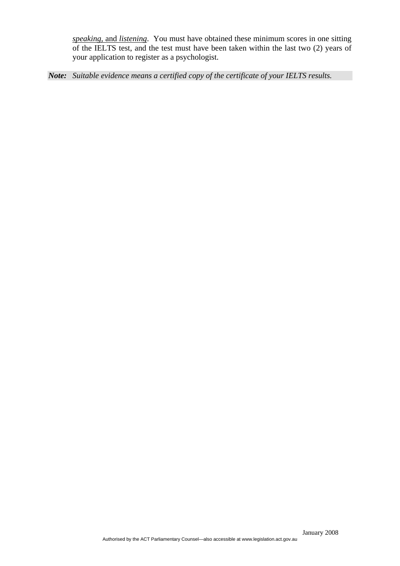*speaking,* and *listening*. You must have obtained these minimum scores in one sitting of the IELTS test, and the test must have been taken within the last two (2) years of your application to register as a psychologist.

*Note: Suitable evidence means a certified copy of the certificate of your IELTS results.*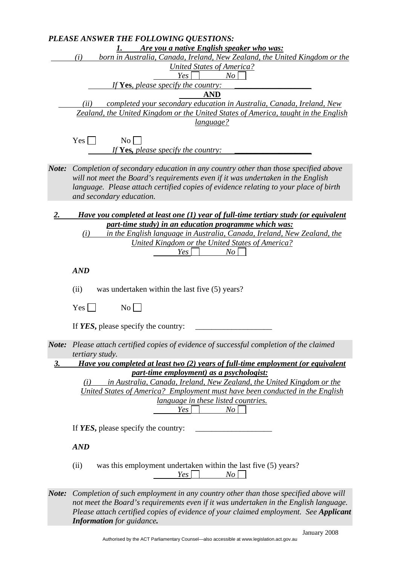|           | PLEASE ANSWER THE FOLLOWING QUESTIONS:                                               |
|-----------|--------------------------------------------------------------------------------------|
|           | Are you a native English speaker who was:<br>1.                                      |
|           | born in Australia, Canada, Ireland, New Zealand, the United Kingdom or the<br>(i)    |
|           | <b>United States of America?</b>                                                     |
|           | Yes<br>No                                                                            |
|           | If Yes, please specify the country:                                                  |
|           | <b>AND</b>                                                                           |
|           | completed your secondary education in Australia, Canada, Ireland, New<br>(ii)        |
|           | Zealand, the United Kingdom or the United States of America, taught in the English   |
|           | <u>language?</u>                                                                     |
|           |                                                                                      |
|           | N <sub>o</sub><br>Yes                                                                |
|           | If Yes, please specify the country:                                                  |
|           |                                                                                      |
|           |                                                                                      |
| Note:     | Completion of secondary education in any country other than those specified above    |
|           | will not meet the Board's requirements even if it was undertaken in the English      |
|           | language. Please attach certified copies of evidence relating to your place of birth |
|           | and secondary education.                                                             |
|           |                                                                                      |
| 2.        | Have you completed at least one (1) year of full-time tertiary study (or equivalent  |
|           | part-time study) in an education programme which was:                                |
|           | in the English language in Australia, Canada, Ireland, New Zealand, the<br>(i)       |
|           | <b>United Kingdom or the United States of America?</b>                               |
|           | Yes<br>No                                                                            |
|           |                                                                                      |
|           | <b>AND</b>                                                                           |
|           |                                                                                      |
|           | (ii)<br>was undertaken within the last five (5) years?                               |
|           |                                                                                      |
|           | $\overline{N_{0}}$<br>Yes                                                            |
|           |                                                                                      |
|           | If YES, please specify the country:                                                  |
|           |                                                                                      |
| Note:     | Please attach certified copies of evidence of successful completion of the claimed   |
|           | <i>tertiary study.</i>                                                               |
| <u>3.</u> | Have you completed at least two (2) years of full-time employment (or equivalent     |
|           | part-time employment) as a psychologist:                                             |
|           |                                                                                      |
|           | in Australia, Canada, Ireland, New Zealand, the United Kingdom or the<br>(i)         |
|           | United States of America? Employment must have been conducted in the English         |
|           | <i>language in these listed countries.</i>                                           |
|           | Yes<br>$N_O$                                                                         |
|           |                                                                                      |
|           | If YES, please specify the country:                                                  |
|           |                                                                                      |
|           | <b>AND</b>                                                                           |
|           |                                                                                      |
|           | was this employment undertaken within the last five (5) years?<br>(ii)               |
|           | Yes<br>No                                                                            |
|           |                                                                                      |
| Note:     | Completion of such employment in any country other than those specified above will   |
|           | not meet the Board's requirements even if it was undertaken in the English language. |
|           | Please attach certified copies of evidence of your claimed employment. See Applicant |
|           | <b>Information</b> for guidance.                                                     |
|           |                                                                                      |
|           | January 2008                                                                         |